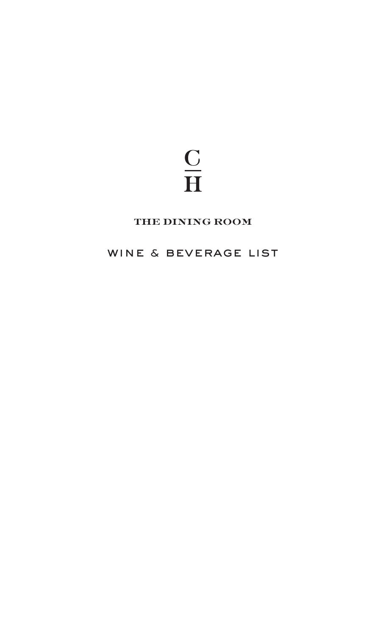# $\frac{\text{C}}{\text{H}}$

# the dining room

# WINE & BEVERAGE LIST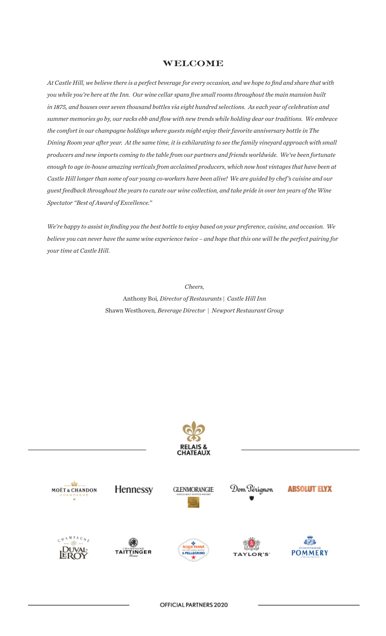#### welcome

*At Castle Hill, we believe there is a perfect beverage for every occasion, and we hope to find and share that with you while you're here at the Inn. Our wine cellar spans five small rooms throughout the main mansion built in 1875, and houses over seven thousand bottles via eight hundred selections. As each year of celebration and summer memories go by, our racks ebb and flow with new trends while holding dear our traditions. We embrace the comfort in our champagne holdings where guests might enjoy their favorite anniversary bottle in The Dining Room year after year. At the same time, it is exhilarating to see the family vineyard approach with small producers and new imports coming to the table from our partners and friends worldwide. We've been fortunate enough to age in-house amazing verticals from acclaimed producers, which now host vintages that have been at Castle Hill longer than some of our young co-workers have been alive! We are guided by chef 's cuisine and our guest feedback throughout the years to curate our wine collection, and take pride in over ten years of the Wine Spectator "Best of Award of Excellence."*

*We're happy to assist in finding you the best bottle to enjoy based on your preference, cuisine, and occasion. We believe you can never have the same wine experience twice – and hope that this one will be the perfect pairing for your time at Castle Hill.*

> *Cheers,*  Anthony Boi*, Director of Restaurants | Castle Hill Inn* Shawn Westhoven*, Beverage Director | Newport Restaurant Group*



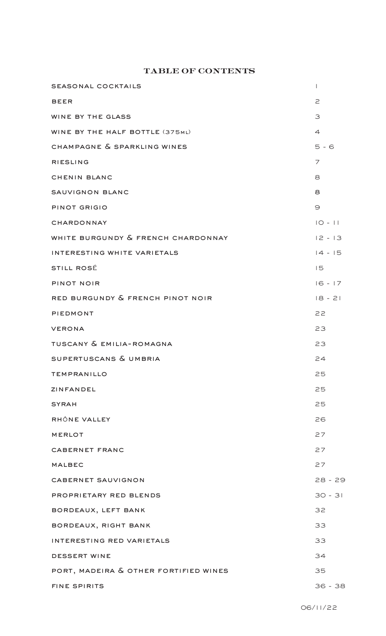## table of contents

| <b>SEASONAL COCKTAILS</b>             | $\overline{1}$ |
|---------------------------------------|----------------|
| <b>BEER</b>                           | $\geq$         |
| WINE BY THE GLASS                     | 3              |
| WINE BY THE HALF BOTTLE (375ML)       | $\overline{4}$ |
| CHAMPAGNE & SPARKLING WINES           | $5 - 6$        |
| <b>RIESLING</b>                       | $\overline{7}$ |
| CHENIN BLANC                          | 8              |
| SAUVIGNON BLANC                       | 8              |
| PINOT GRIGIO                          | $\Theta$       |
| CHARDONNAY                            | $IO - II$      |
| WHITE BURGUNDY & FRENCH CHARDONNAY    | $12 - 13$      |
| INTERESTING WHITE VARIETALS           | $14 - 15$      |
| <b>STILL ROSÉ</b>                     | 15             |
| PINOT NOIR                            | $16 - 17$      |
| RED BURGUNDY & FRENCH PINOT NOIR      | $18 - 21$      |
| PIEDMONT                              | 22             |
| <b>VERONA</b>                         | 23             |
| TUSCANY & EMILIA-ROMAGNA              | 23             |
| SUPERTUSCANS & UMBRIA                 | 24             |
| <b>TEMPRANILLO</b>                    | 25             |
| ZINFANDEL                             | 25             |
| <b>SYRAH</b>                          | 25             |
| RHÔNE VALLEY                          | 26             |
| <b>MERLOT</b>                         | 27             |
| <b>CABERNET FRANC</b>                 | 27             |
| <b>MALBEC</b>                         | 27             |
| CABERNET SAUVIGNON                    | 28 - 29        |
| PROPRIETARY RED BLENDS                | $30 - 31$      |
| BORDEAUX, LEFT BANK                   | 32             |
| BORDEAUX, RIGHT BANK                  | 33             |
| INTERESTING RED VARIETALS             | 33             |
| DESSERT WINE                          | 34             |
| PORT, MADEIRA & OTHER FORTIFIED WINES | 35             |
| <b>FINE SPIRITS</b>                   | $36 - 38$      |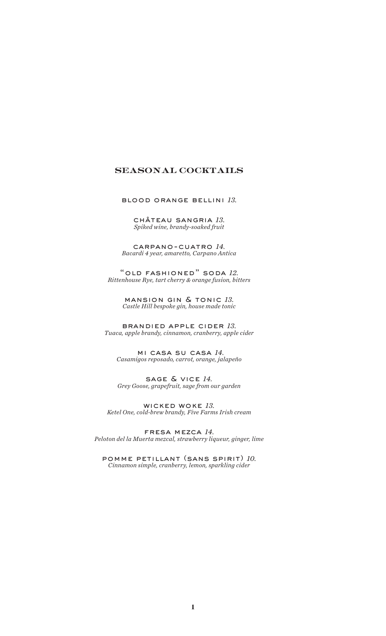## seasonal cocktails

blood orange bellini *13.*

château sangria *13. Spiked wine, brandy-soaked fruit*

carpano-cuatro *14. Bacardi 4 year, amaretto, Carpano Antica*

"old fashioned" soda *12. Rittenhouse Rye, tart cherry & orange fusion, bitters*

> mansion gin & tonic *13. Castle Hill bespoke gin, house made tonic*

brandied apple cider *13. Tuaca, apple brandy, cinnamon, cranberry, apple cider*

 mi casa su casa *14. Casamigos reposado, carrot, orange, jalapeño*

sage & vice *14. Grey Goose, grapefruit, sage from our garden*

wicked woke *13. Ketel One, cold-brew brandy, Five Farms Irish cream*

fresa mezca *14. Peloton del la Muerta mezcal, strawberry liqueur, ginger, lime*

pomme petillant (sans spirit) *10. Cinnamon simple, cranberry, lemon, sparkling cider*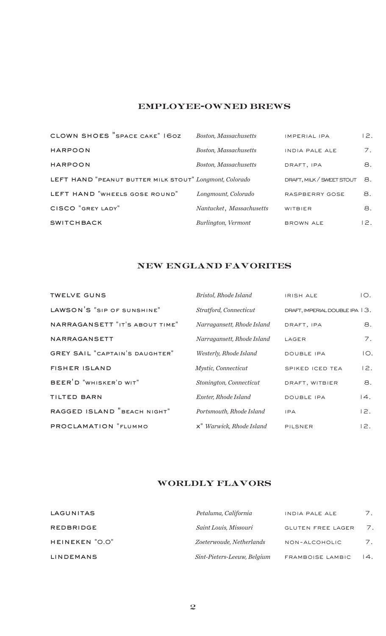## employee-owned brews

| CLOWN SHOES "SPACE CAKE" 160Z                           | <b>Boston, Massachusetts</b> | <b>IMPERIAL IPA</b>       | 12. |
|---------------------------------------------------------|------------------------------|---------------------------|-----|
| <b>HARPOON</b>                                          | <b>Boston, Massachusetts</b> | <b>INDIA PALE ALE</b>     | 7.  |
| <b>HARPOON</b>                                          | <b>Boston, Massachusetts</b> | DRAFT, IPA                | 8.  |
| LEFT HAND "PEANUT BUTTER MILK STOUT" Longmont, Colorado |                              | DRAFT, MILK / SWEET STOUT | 8.  |
| LEFT HAND "WHEELS GOSE ROUND"                           | Longmount, Colorado          | RASPBERRY GOSE            | 8.  |
| CISCO "GREY LADY"                                       | Nantucket, Massachusetts     | <b>WITBIER</b>            | 8.  |
| <b>SWITCHBACK</b>                                       | Burlington, Vermont          | <b>BROWN ALE</b>          | 12. |

## new england favorites

| <b>TWELVE GUNS</b>                    | Bristol, Rhode Island      | <b>IRISH ALE</b>               | IO. |
|---------------------------------------|----------------------------|--------------------------------|-----|
| LAWSON'S "SIP OF SUNSHINE"            | Stratford, Connecticut     | DRAFT, IMPERIAL DOUBLE IPA 13. |     |
| NARRAGANSETT "IT'S ABOUT TIME"        | Narragansett, Rhode Island | DRAFT, IPA                     | 8.  |
| <b>NARRAGANSETT</b>                   | Narragansett, Rhode Island | LAGER                          | 7.  |
| <b>GREY SAIL "CAPTAIN'S DAUGHTER"</b> | Westerly, Rhode Island     | <b>DOUBLE IPA</b>              | IO. |
| <b>FISHER ISLAND</b>                  | Mystic, Connecticut        | SPIKED ICED TEA                | 12. |
| BEER <sup>'</sup> D "WHISKER'D WIT"   | Stonington, Connecticut    | DRAFT, WITBIER                 | 8.  |
| <b>TILTED BARN</b>                    | Exeter, Rhode Island       | <b>DOUBLE IPA</b>              | 4.  |
| RAGGED ISLAND "BEACH NIGHT"           | Portsmouth, Rhode Island   | <b>IPA</b>                     | 12. |
| PROCLAMATION "FLUMMO                  | x" Warwick, Rhode Island   | PILSNER                        | 12. |

# worldly flavors

| LAGUNITAS        | Petaluma, California        | INDIA PALE ALE           | 7.                |
|------------------|-----------------------------|--------------------------|-------------------|
| <b>REDBRIDGE</b> | Saint Louis, Missouri       | <b>GLUTEN FREE LAGER</b> | 7.                |
| HEINEKEN "O.O"   | Zoeterwoude, Netherlands    | NON-ALCOHOLIC            | 7.                |
| <b>LINDEMANS</b> | Sint-Pieters-Leeuw, Belgium | FRAMBOISE LAMBIC         | $\overline{14}$ . |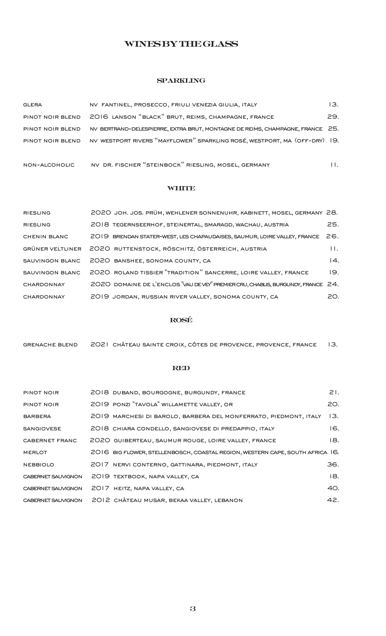## wines by the glass

#### **SPARKLING**

| <b>GLERA</b>     | NV FANTINEL, PROSECCO, FRIULI VENEZIA GIULIA, ITALY                                        | 13. |
|------------------|--------------------------------------------------------------------------------------------|-----|
|                  | PINOT NOIR BLEND 2016 LANSON "BLACK" BRUT, REIMS, CHAMPAGNE, FRANCE                        | 29. |
| PINOT NOIR BLEND | NV BERTRAND-DELESPIERRE, EXTRA BRUT, MONTAGNE DE REIMS, CHAMPAGNE, FRANCE 25.              |     |
|                  | PINOT NOIR BLEND NV WESTPORT RIVERS "MAYFLOWER" SPARKLING ROSÉ, WESTPORT, MA (OFF-DRY) 19. |     |
|                  |                                                                                            |     |

## non-alcoholic nv dr. fischer "steinbock" riesling, mosel, germany 11.

#### **WHITE**

| <b>RIESLING</b>     | 2020 JOH. JOS. PRÜM, WEHLENER SONNENUHR, KABINETT, MOSEL, GERMANY 28.           |                   |
|---------------------|---------------------------------------------------------------------------------|-------------------|
| <b>RIESLING</b>     | 2018 TEGERNSEERHOF, STEINERTAL, SMARAGD, WACHAU, AUSTRIA                        | 25.               |
| <b>CHENIN BLANC</b> | 2019 BRENDAN STATER-WEST, LES CHAPAUDAISES, SAUMUR, LOIRE VALLEY, FRANCE        | 26.               |
| GRÜNER VELTLINER    | 2020 RUTTENSTOCK, RÖSCHITZ, ÖSTERREICH, AUSTRIA                                 | $\mathbf{H}$      |
| SAUVINGON BLANC     | 2020 BANSHEE, SONOMA COUNTY, CA                                                 | $\overline{14}$ . |
| SAUVINGON BLANC     | 2020 ROLAND TISSIER "TRADITION" SANCERRE, LOIRE VALLEY, FRANCE                  | 19.               |
| <b>CHARDONNAY</b>   | 2020 DOMAINE DE L'ENCLOS "VAU DEVEY" PREMIER CRU, CHABLIS, BURGUNDY, FRANCE 24. |                   |
| <b>CHARDONNAY</b>   | 2019 JORDAN, RUSSIAN RIVER VALLEY, SONOMA COUNTY, CA                            | 20.               |

#### rosé

| <b>GRENACHE BLEND</b> | 2021 CHÂTEAU SAINTE CROIX, CÔTES DE PROVENCE, PROVENCE, FRANCE 13. |  |  |
|-----------------------|--------------------------------------------------------------------|--|--|
|                       |                                                                    |  |  |

#### red

| <b>PINOT NOIR</b>  | 2018 DUBAND, BOURGOGNE, BURGUNDY, FRANCE                                      | 21. |
|--------------------|-------------------------------------------------------------------------------|-----|
| PINOT NOIR         | 2019 PONZI "TAVOLA" WILLAMETTE VALLEY, OR                                     | 20. |
| <b>BARBERA</b>     | 2019 MARCHESI DI BAROLO, BARBERA DEL MONFERRATO, PIEDMONT, ITALY              | 13. |
| <b>SANGIOVESE</b>  | 2018 CHIARA CONDELLO, SANGIOVESE DI PREDAPPIO, ITALY                          | 16. |
| CABERNET FRANC     | 2020 GUIBERTEAU, SAUMUR ROUGE, LOIRE VALLEY, FRANCE                           | 18. |
| <b>MERLOT</b>      | 2016 BIG FLOWER, STELLENBOSCH, COASTAL REGION, WESTERN CAPE, SOUTH AFRICA 16. |     |
| <b>NEBBIOLO</b>    | 2017 NERVI CONTERNO, GATTINARA, PIEDMONT, ITALY                               | 36. |
| CABERNET SAUVIGNON | 2019 TEXTBOOK, NAPA VALLEY, CA                                                | 18. |
| CABERNET SAUVIGNON | 2017 HEITZ, NAPA VALLEY, CA                                                   | 40. |
| CABERNET SAUVIGNON | 2012 CHÂTEAU MUSAR, BEKAA VALLEY, LEBANON                                     | 42. |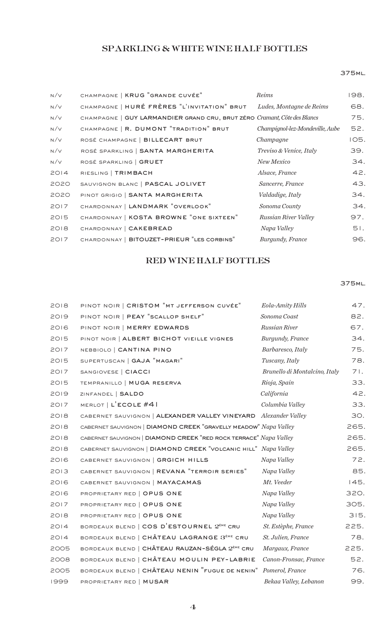## SPARKLING & WHITE WINE HALF BOTTLES

## 375ml.

| N/V  | CHAMPAGNE   KRUG "GRANDE CUVÉE"                                          | Reims                           | 198. |
|------|--------------------------------------------------------------------------|---------------------------------|------|
| N/V  | CHAMPAGNE   HURÉ FRÈRES "L'INVITATION" BRUT                              | Ludes, Montagne de Reims        | 68.  |
| N/V  | CHAMPAGNE   GUY LARMANDIER GRAND CRU, BRUT ZÉRO Cramant, Côte des Blancs |                                 | 75.  |
| N/V  | CHAMPAGNE   R. DUMONT "TRADITION" BRUT                                   | Champignol-lez-Mondeville, Aube | 52.  |
| N/V  | ROSÉ CHAMPAGNE   BILLECART BRUT                                          | Champagne                       | IO5. |
| N/V  | ROSÉ SPARKLING   SANTA MARGHERITA                                        | Treviso & Venice, Italy         | 39.  |
| N/V  | ROSÉ SPARKLING   GRUET                                                   | New Mexico                      | 34.  |
| 2014 | RIESLING   TRIMBACH                                                      | Alsace, France                  | 42.  |
| 2020 | SAUVIGNON BLANC   PASCAL JOLIVET                                         | Sancerre, France                | 43.  |
| 2020 | PINOT GRIGIO   SANTA MARGHERITA                                          | Valdadige, Italy                | 34.  |
| 2017 | CHARDONNAY   LANDMARK "OVERLOOK"                                         | Sonoma County                   | 34.  |
| 2015 | CHARDONNAY   KOSTA BROWNE "ONE SIXTEEN"                                  | Russian River Valley            | 97.  |
| 2018 | CHARDONNAY   CAKEBREAD                                                   | Napa Valley                     | 51.  |
| 2017 | CHARDONNAY   BITOUZET-PRIEUR "LES CORBINS"                               | Burgundy, France                | 96.  |

## RED WINE HALF BOTTLES

## 375ml.

| 2018 | PINOT NOIR   CRISTOM "MT JEFFERSON CUVÉE"                         | <b>Eola-Amity Hills</b>       | 47.  |
|------|-------------------------------------------------------------------|-------------------------------|------|
| 2019 | PINOT NOIR   PEAY "SCALLOP SHELF"                                 | Sonoma Coast                  | 82.  |
| 2016 | PINOT NOIR   MERRY EDWARDS                                        | Russian River                 | 67.  |
| 2015 | PINOT NOIR   ALBERT BICHOT VIEILLE VIGNES                         | Burgundy, France              | 34.  |
| 2017 | NEBBIOLO   CANTINA PINO                                           | Barbaresco, Italy             | 75.  |
| 2015 | SUPERTUSCAN   GAJA "MAGARI"                                       | Tuscany, Italy                | 78.  |
| 2017 | SANGIOVESE   CIACCI                                               | Brunello di Montalcino, Italy | 71.  |
| 2015 | TEMPRANILLO   MUGA RESERVA                                        | Rioja, Spain                  | 33.  |
| 2019 | ZINFANDEL   SALDO                                                 | California                    | 42.  |
| 2017 | MERLOT   L'ECOLE #41                                              | Columbia Valley               | 33.  |
| 2018 | CABERNET SAUVIGNON   ALEXANDER VALLEY VINEYARD Alexander Valley   |                               | 30.  |
| 2018 | CABERNET SAUVIGNON   DIAMOND CREEK "GRAVELLY MEADOW" Napa Valley  |                               | 265. |
| 2018 | CABERNET SAUVIGNON   DIAMOND CREEK "RED ROCK TERRACE" Napa Valley |                               | 265. |
| 2018 | CABERNET SAUVIGNON   DIAMOND CREEK "VOLCANIC HILL" Napa Valley    |                               | 265. |
| 2016 | CABERNET SAUVIGNON   GRGICH HILLS                                 | Napa Valley                   | 72.  |
| 2013 | CABERNET SAUVIGNON   REVANA "TERROIR SERIES"                      | Napa Valley                   | 85.  |
| 2016 | CABERNET SAUVIGNON   MAYACAMAS                                    | Mt. Veeder                    | 145. |
| 2016 | PROPRIETARY RED   OPUS ONE                                        | Napa Valley                   | 320. |
| 2017 | PROPRIETARY RED   OPUS ONE                                        | Napa Valley                   | 305. |
| 2018 | PROPRIETARY RED   OPUS ONE                                        | Napa Valley                   | 315. |
| 2014 | BORDEAUX BLEND   COS D'ESTOURNEL 2 <sup>ème</sup> CRU             | St. Estèphe, France           | 225. |
| 2014 | BORDEAUX BLEND   CHÂTEAU LAGRANGE 3 <sup>ème</sup> CRU            | St. Julien, France            | 78.  |
| 2005 | BORDEAUX BLEND   CHÂTEAU RAUZAN-SÉGLA 2 <sup>ème</sup> CRU        | Margaux, France               | 225. |
| 2008 | BORDEAUX BLEND   CHÂTEAU MOULIN PEY-LABRIE                        | Canon-Fronsac, France         | 52.  |
| 2005 | BORDEAUX BLEND   CHÂTEAU NENIN "FUGUE DE NENIN" Pomerol, France   |                               | 76.  |
| 1999 | PROPRIETARY RED   MUSAR                                           | Bekaa Valley, Lebanon         | 99.  |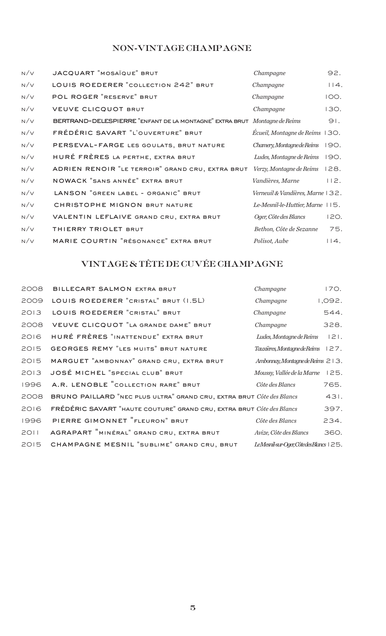## NON-VINTAGE CHAMPAGNE

| N/V | JACQUART "MOSAÏQUE" BRUT                                                  | Champagne                           | 92.  |
|-----|---------------------------------------------------------------------------|-------------------------------------|------|
| N/V | LOUIS ROEDERER "COLLECTION 242" BRUT                                      | Champagne                           | 114. |
| N/V | POL ROGER "RESERVE" BRUT                                                  | Champagne                           | IOO. |
| N/V | <b>VEUVE CLICQUOT BRUT</b>                                                | Champagne                           | 130. |
| N/V | BERTRAND-DELESPIERRE "ENFANT DE LA MONTAGNE" EXTRA BRUT Montagne de Reims |                                     | 91.  |
| N/V | FRÉDÉRIC SAVART "L'OUVERTURE" BRUT                                        | Ecueil, Montagne de Reims 130.      |      |
| N/V | PERSEVAL-FARGE LES GOULATS, BRUT NATURE                                   | Chamery, Montagne de Reims          | 190. |
| N/V | HURÉ FRÈRES LA PERTHE, EXTRA BRUT                                         | Ludes, Montagne de Reims            | 190. |
| N/V | ADRIEN RENOIR "LE TERROIR" GRAND CRU, EXTRA BRUT                          | Verzy, Montagne de Reims            | 128. |
| N/V | NOWACK "SANS ANNÉE" EXTRA BRUT                                            | Vandières, Marne                    | 112. |
| N/V | LANSON "GREEN LABEL - ORGANIC" BRUT                                       | Verneuil & Vandières, Marne 132.    |      |
| N/V | CHRISTOPHE MIGNON BRUT NATURE                                             | Le-Mesnil-le-Huttier, Marne $115$ . |      |
| N/V | VALENTIN LEFLAIVE GRAND CRU, EXTRA BRUT                                   | Oger, Côte des Blancs               | 120. |
| N/V | THIERRY TRIOLET BRUT                                                      | Bethon, Côte de Sezanne             | 75.  |
| N/V | MARIE COURTIN "RÉSONANCE" EXTRA BRUT                                      | Polisot, Aube                       | 14.  |

# VINTAGE & TÊTE DE CUVÉE CHAMPAGNE

| 2008 | BILLECART SALMON EXTRA BRUT                                           | Champagne                               | 170.    |
|------|-----------------------------------------------------------------------|-----------------------------------------|---------|
| 2009 | LOUIS ROEDERER "CRISTAL" BRUT (I.5L)                                  | Champagne                               | 1,092.  |
| 2013 | LOUIS ROEDERER "CRISTAL" BRUT                                         | Champagne                               | 544.    |
| 2008 | VEUVE CLICQUOT "LA GRANDE DAME" BRUT                                  | Champagne                               | 328.    |
| 2016 | HURÉ FRÈRES "INATTENDUE" EXTRA BRUT                                   | Ludes, Montagne de Reims                | $ 2 $ . |
| 2015 | <b>GEORGES REMY "LES MUITS" BRUT NATURE</b>                           | Tauxières, Montagne de Reims $127$ .    |         |
| 2015 | MARGUET "AMBONNAY" GRAND CRU, EXTRA BRUT                              | Ambonnay, Montagne de Reims $\geq 13$ . |         |
| 2013 | JOSÉ MICHEL "SPECIAL CLUB" BRUT                                       | Moussy, Vallée de la Marne              | 125.    |
| 1996 | A.R. LENOBLE "COLLECTION RARE" BRUT                                   | Côte des Blancs                         | 765.    |
| 2008 | BRUNO PAILLARD "NEC PLUS ULTRA" GRAND CRU, EXTRA BRUT Côte des Blancs |                                         | 431.    |
| 2016 | FRÉDÉRIC SAVART "HAUTE COUTURE" GRAND CRU, EXTRA BRUT Côte des Blancs |                                         | 397.    |
| 1996 | PIERRE GIMONNET "FLEURON" BRUT                                        | Côte des Blancs                         | 234.    |
| 2011 | AGRAPART "MINÉRAL" GRAND CRU, EXTRA BRUT                              | Avize, Côte des Blancs                  | 360.    |
| 2015 | CHAMPAGNE MESNIL "SUBLIME" GRAND CRU, BRUT                            | LeMesnil-sur-Oger, CôtedesBlancs   25.  |         |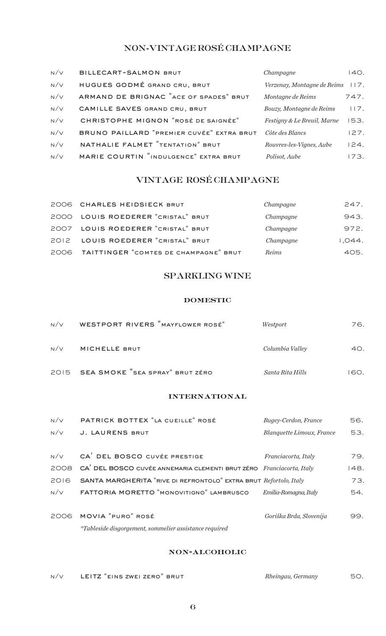## NON-VINTAGE ROSÉ CHAMPAGNE

| N/V | BILLECART-SALMON BRUT                     | Champagne                   | 140. |
|-----|-------------------------------------------|-----------------------------|------|
| N/V | HUGUES GODMÉ GRAND CRU, BRUT              | Verzenay, Montagne de Reims | 117. |
| N/V | ARMAND DE BRIGNAC "ACE OF SPADES" BRUT    | Montagne de Reims           | 747. |
| N/V | CAMILLE SAVES GRAND CRU, BRUT             | Bouzy, Montagne de Reims    | 117. |
| N/V | CHRISTOPHE MIGNON "ROSÉ DE SAIGNÉE"       | Festigny & Le Breuil, Marne | 153. |
| N/V | BRUNO PAILLARD "PREMIER CUVÉE" EXTRA BRUT | Côte des Blancs             | 127. |
| N/V | NATHALIE FALMET "TENTATION" BRUT          | Rouvres-les-Vignes, Aube    | 124. |
| N/V | MARIE COURTIN "INDULGENCE" EXTRA BRUT     | Polisot, Aube               | 173. |

## VINTAGE ROSÉ CHAMPAGNE

| 2006 CHARLES HEIDSIECK BRUT                | Champagne | 247.   |
|--------------------------------------------|-----------|--------|
| 2000 LOUIS ROEDERER "CRISTAL" BRUT         | Champagne | 943.   |
| 2007 LOUIS ROEDERER "CRISTAL" BRUT         | Champagne | 972.   |
| 2012 LOUIS ROEDERER "CRISTAL" BRUT         | Champagne | 1,044. |
| 2006 TAITTINGER "COMTES DE CHAMPAGNE" BRUT | Reims     | 405.   |

## SPARKLING WINE

#### domestic

| N/V | WESTPORT RIVERS "MAYFLOWER ROSÉ"     | Westport         | 76.  |
|-----|--------------------------------------|------------------|------|
| N/V | MICHELLE BRUT                        | Columbia Valley  | 40.  |
|     | 2015 SEA SMOKE "SEA SPRAY" BRUT ZÉRO | Santa Rita Hills | I60. |

#### international

| N/V  | PATRICK BOTTEX "LA CUEILLE" ROSÉ                                                 | Bugey-Cerdon, France      | 56.  |
|------|----------------------------------------------------------------------------------|---------------------------|------|
| N/V  | J. LAURENS BRUT                                                                  | Blanquette Limoux, France | 53.  |
|      |                                                                                  |                           |      |
| N/V  | CA DEL BOSCO CUVÉE PRESTIGE                                                      | Franciacorta, Italy       | 79.  |
| 2008 | CA <sup>'</sup> DEL BOSCO CUVÉE ANNEMARIA CLEMENTI BRUT ZÉRO Franciacorta, Italy |                           | 148. |
| 2016 | SANTA MARGHERITA "RIVE DI REFRONTOLO" EXTRA BRUT Refortolo, Italy                |                           | 73.  |
| N/V  | FATTORIA MORETTO "MONOVITIGNO" LAMBRUSCO                                         | Emilia-Romagna, Italy     | 54.  |
|      |                                                                                  |                           |      |
| 2006 | MOVIA "PURO" ROSÉ                                                                | Goriška Brda, Slovenija   | 99.  |
|      | <i>*Tableside disgorgement, sommelier assistance required</i>                    |                           |      |

## non-alcoholic

| N/V | LEITZ "EINS ZWEI ZERO" BRUT | Rheingau, Germany | 50. |
|-----|-----------------------------|-------------------|-----|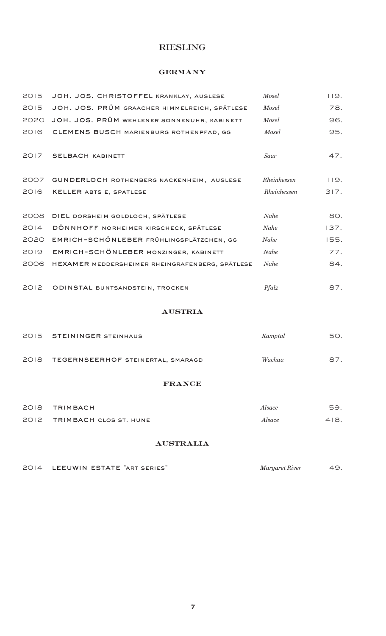## RIESLING

## **GERMANY**

| 2015 | JOH. JOS. CHRISTOFFEL KRANKLAY, AUSLESE         | Mosel        | 119. |
|------|-------------------------------------------------|--------------|------|
| 2015 | JOH. JOS. PRÜM GRAACHER HIMMELREICH, SPÄTLESE   | <b>Mosel</b> | 78.  |
| 2020 | JOH. JOS. PRÜM WEHLENER SONNENUHR, KABINETT     | Mosel        | 96.  |
| 2016 | CLEMENS BUSCH MARIENBURG ROTHENPFAD, GG         | <b>Mosel</b> | 95.  |
|      |                                                 |              |      |
| 2017 | <b>SELBACH KABINETT</b>                         | Saar         | 47.  |
|      |                                                 |              |      |
| 2007 | GUNDERLOCH ROTHENBERG NACKENHEIM, AUSLESE       | Rheinhessen  | 119. |
| 2016 | KELLER ABTS E, SPATLESE                         | Rheinhessen  | 317. |
|      |                                                 |              |      |
| 2008 | DIEL DORSHEIM GOLDLOCH, SPÄTLESE                | Nahe         | 80.  |
| 2014 | DÖNNHOFF NORHEIMER KIRSCHECK, SPÄTLESE          | Nahe         | 137. |
| 2020 | EMRICH-SCHÖNLEBER FRÜHLINGSPLÄTZCHEN, GG        | Nahe         | 155. |
| 2019 | EMRICH-SCHÖNLEBER MONZINGER, KABINETT           | Nahe         | 77.  |
| 2006 | HEXAMER MEDDERSHEIMER RHEINGRAFENBERG, SPÄTLESE | Nahe         | 84.  |
|      |                                                 |              |      |
| 2012 | ODINSTAL BUNTSANDSTEIN, TROCKEN                 | $Pf$ alz     | 87.  |

#### austria

| 2015 STEININGER STEINHAUS              | Kamptal | 50. |
|----------------------------------------|---------|-----|
| 2018 TEGERNSEERHOF STEINERTAL, SMARAGD | Wachau  | 87. |

#### france

| 2018 TRIMBACH               | Alsace | 59.  |
|-----------------------------|--------|------|
| 2012 TRIMBACH CLOS ST. HUNE | Alsace | 418. |

## australia

| 2014 LEEUWIN ESTATE "ART SERIES" | Margaret River |  |
|----------------------------------|----------------|--|
|                                  |                |  |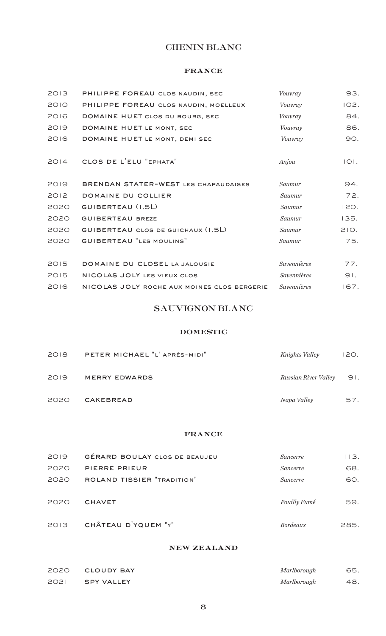## CHENIN BLANC

#### france

| 2013 | PHILIPPE FOREAU CLOS NAUDIN, SEC            | Vouvray            | 93.     |
|------|---------------------------------------------|--------------------|---------|
| 2010 | PHILIPPE FOREAU CLOS NAUDIN, MOELLEUX       | Vouvray            | 102.    |
| 2016 | DOMAINE HUET CLOS DU BOURG, SEC             | Vouvray            | 84.     |
| 2019 | DOMAINE HUET LE MONT, SEC                   | Vouvray            | 86.     |
| 2016 | DOMAINE HUET LE MONT, DEMI SEC              | Vouvray            | 90.     |
| 2014 | CLOS DE L'ELU "EPHATA"                      | Anjou              | $ O $ . |
| 2019 | BRENDAN STATER-WEST LES CHAPAUDAISES        | Saumur             | 94.     |
| 2012 | DOMAINE DU COLLIER                          | Saumur             | 72.     |
| 2020 | GUIBERTEAU (I.5L)                           | Saumur             | 120.    |
| 2020 | <b>GUIBERTEAU BREZE</b>                     | Saumur             | 135.    |
| 2020 | GUIBERTEAU CLOS DE GUICHAUX (1.5L)          | Saumur             | 210.    |
| 2020 | <b>GUIBERTEAU "LES MOULINS"</b>             | Saumur             | 75.     |
| 2015 | DOMAINE DU CLOSEL LA JALOUSIE               | <b>Savennières</b> | 77.     |
| 2015 | NICOLAS JOLY LES VIEUX CLOS                 | Savennières        | 91.     |
| 2016 | NICOLAS JOLY ROCHE AUX MOINES CLOS BERGERIE | Savennières        | 167.    |

## SAUVIGNON BLANC

## domestic

| 2018 | PETER MICHAEL "L' APRÈS-MIDI" | Knights Valley       | 120. |
|------|-------------------------------|----------------------|------|
| 2019 | <b>MERRY EDWARDS</b>          | Russian River Valley | 91.  |
| 2020 | CAKEBREAD                     | Napa Valley          | 57.  |

## france

| 2019 | <b>GÉRARD BOULAY CLOS DE BEAUJEU</b> | Sancerre        | 113. |
|------|--------------------------------------|-----------------|------|
| 2020 | PIERRE PRIEUR                        | <i>Sancerre</i> | 68.  |
| 2020 | <b>ROLAND TISSIER "TRADITION"</b>    | Sancerre        | 60.  |
| 2020 | <b>CHAVET</b>                        | Pouilly Fumé    | 59.  |
| 2013 | CHÂTEAU D'YQUEM "Y"                  | <b>Bordeaux</b> | 285. |

#### new zealand

|      | 2020 CLOUDY BAY | Marlborough | 65. |
|------|-----------------|-------------|-----|
| 2021 | SPY VALLEY      | Marlborough | 48. |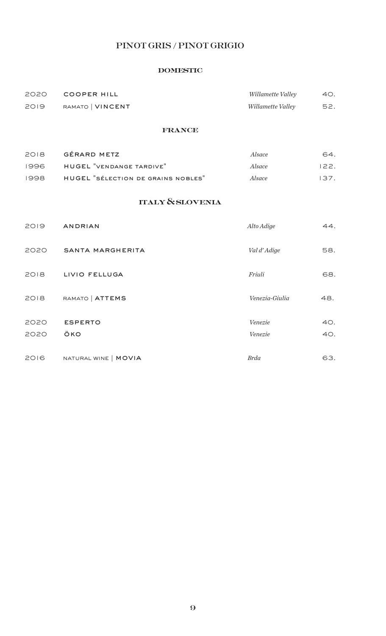# PINOT GRIS / PINOT GRIGIO

#### domestic

| 2020 | COOPER HILL      | Willamette Valley | 40. |
|------|------------------|-------------------|-----|
| 2019 | RAMATO   VINCENT | Willamette Valley | 52. |

## france

| 2018  | GÉRARD METZ                        | <i>Alsace</i> | 64.  |
|-------|------------------------------------|---------------|------|
| 1996  | HUGEL "VENDANGE TARDIVE"           | Alsace        | 122. |
| 1998. | HUGEL "SÉLECTION DE GRAINS NOBLES" | <i>Alsace</i> | 137. |

## italy & slovenia

| 2019 | <b>ANDRIAN</b>       | Alto Adige     | 44. |
|------|----------------------|----------------|-----|
| 2020 | SANTA MARGHERITA     | Val d'Adige    | 58. |
| 2018 | LIVIO FELLUGA        | Friuli         | 68. |
| 2018 | RAMATO   ATTEMS      | Venezia-Giulia | 48. |
| 2020 | <b>ESPERTO</b>       | Venezie        | 40. |
| 2020 | ÖKO                  | Venezie        | 40. |
| 2016 | NATURAL WINE   MOVIA | <b>Brda</b>    | 63. |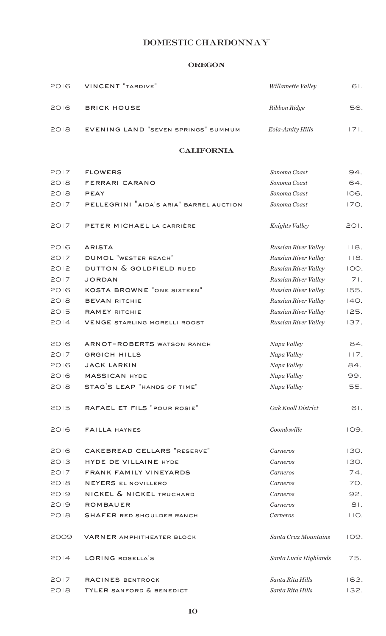# DOMESTIC CHARDONNAY

## oregon

| 2016 | <b>VINCENT "TARDIVE"</b>                | Willamette Valley     | 61.  |
|------|-----------------------------------------|-----------------------|------|
| 2016 | <b>BRICK HOUSE</b>                      | Ribbon Ridge          | 56.  |
| 2018 | EVENING LAND "SEVEN SPRINGS" SUMMUM     | Eola-Amity Hills      | 171. |
|      | <b>CALIFORNIA</b>                       |                       |      |
| 2017 | <b>FLOWERS</b>                          | Sonoma Coast          | 94.  |
| 2018 | FERRARI CARANO                          | Sonoma Coast          | 64.  |
| 2018 | <b>PEAY</b>                             | Sonoma Coast          | 106. |
| 2017 | PELLEGRINI "AIDA'S ARIA" BARREL AUCTION | Sonoma Coast          | 170. |
| 2017 | PETER MICHAEL LA CARRIÈRE               | Knights Valley        | 201. |
| 2016 | <b>ARISTA</b>                           | Russian River Valley  | 118. |
| 2017 | <b>DUMOL</b> "WESTER REACH"             | Russian River Valley  | 118. |
| 2012 | DUTTON & GOLDFIELD RUED                 | Russian River Valley  | IOO. |
| 2017 | <b>JORDAN</b>                           | Russian River Valley  | 71.  |
| 2016 | <b>KOSTA BROWNE "ONE SIXTEEN"</b>       | Russian River Valley  | 155. |
| 2018 | <b>BEVAN RITCHIE</b>                    | Russian River Valley  | 140. |
| 2015 | <b>RAMEY RITCHIE</b>                    | Russian River Valley  | 125. |
| 2014 | <b>VENGE STARLING MORELLI ROOST</b>     | Russian River Valley  | 137. |
| 2016 | <b>ARNOT-ROBERTS WATSON RANCH</b>       | Napa Valley           | 84.  |
| 2017 | <b>GRGICH HILLS</b>                     | Napa Valley           | 117. |
| 2016 | <b>JACK LARKIN</b>                      | Napa Valley           | 84.  |
| 2016 | <b>MASSICAN HYDE</b>                    | Napa Valley           | 99.  |
| 2018 | STAG'S LEAP "HANDS OF TIME"             | Napa Valley           | 55.  |
| 2015 | RAFAEL ET FILS "POUR ROSIE"             | Oak Knoll District    | 61.  |
| 2016 | <b>FAILLA HAYNES</b>                    | Coombsville           | 109. |
| 2016 | CAKEBREAD CELLARS "RESERVE"             | Carneros              | 130. |
| 2013 | HYDE DE VILLAINE HYDE                   | Carneros              | 130. |
| 2017 | FRANK FAMILY VINEYARDS                  | Carneros              | 74.  |
| 2018 | NEYERS EL NOVILLERO                     | Carneros              | 70.  |
| 2019 | NICKEL & NICKEL TRUCHARD                | Carneros              | 92.  |
| 2019 | <b>ROMBAUER</b>                         | Carneros              | 81.  |
| 2018 | <b>SHAFER RED SHOULDER RANCH</b>        | Carneros              | 110. |
| 2009 | <b>VARNER AMPHITHEATER BLOCK</b>        | Santa Cruz Mountains  | 109. |
| 2014 | LORING ROSELLA'S                        | Santa Lucia Highlands | 75.  |
| 2017 | RACINES BENTROCK                        | Santa Rita Hills      | 163. |
| 2018 | TYLER SANFORD & BENEDICT                | Santa Rita Hills      | 132. |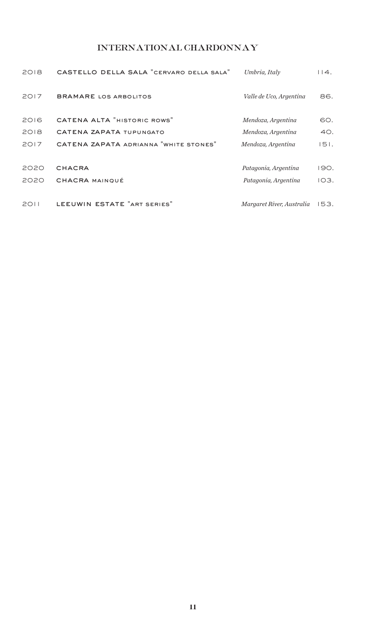# INTERNATIONAL CHARDONNAY

| 2018 | CASTELLO DELLA SALA "CERVARO DELLA SALA" | Umbria, Italy             | 14.  |
|------|------------------------------------------|---------------------------|------|
| 2017 | <b>BRAMARE LOS ARBOLITOS</b>             | Valle de Uco, Argentina   | 86.  |
| 2016 | <b>CATENA ALTA "HISTORIC ROWS"</b>       | Mendoza, Argentina        | 60.  |
| 2018 | CATENA ZAPATA TUPUNGATO                  | Mendoza, Argentina        | 40.  |
| 2017 | CATENA ZAPATA ADRIANNA "WHITE STONES"    | Mendoza, Argentina        | 151. |
| 2020 | <b>CHACRA</b>                            | Patagonia, Argentina      | 190. |
| 2020 | <b>CHACRA MAINOUÉ</b>                    | Patagonia, Argentina      | IO3. |
| 2011 | LEEUWIN ESTATE "ART SERIES"              | Margaret River, Australia | 153. |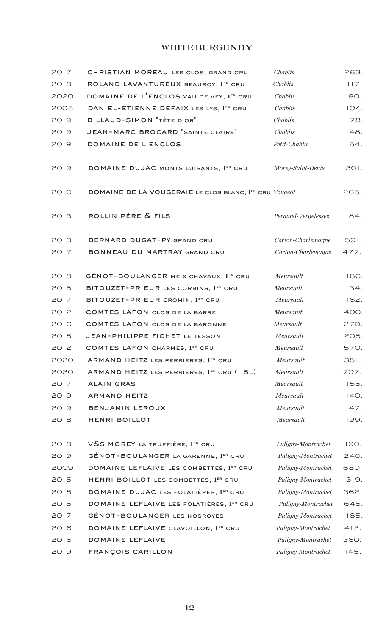## WHITE BURGUNDY

| 2017 | CHRISTIAN MOREAU LES CLOS, GRAND CRU                   | Chablis             | 263. |
|------|--------------------------------------------------------|---------------------|------|
| 2018 | ROLAND LAVANTUREUX BEAUROY, 1ER CRU                    | Chablis             | 117. |
| 2020 | DOMAINE DE L'ENCLOS VAU DE VEY, 1ER CRU                | Chablis             | 80.  |
| 2005 | DANIEL-ETIENNE DEFAIX LES LYS, 1ER CRU                 | Chablis             | 104. |
| 2019 | BILLAUD-SIMON "TÊTE D'OR"                              | Chablis             | 78.  |
| 2019 | <b>JEAN-MARC BROCARD "SAINTE CLAIRE"</b>               | Chablis             | 48.  |
| 2019 | DOMAINE DE L'ENCLOS                                    | Petit-Chablis       | 54.  |
| 2019 | DOMAINE DUJAC MONTS LUISANTS, 1ER CRU                  | Morey-Saint-Denis   | 301. |
| 2010 | DOMAINE DE LA VOUGERAIE LE CLOS BLANC, 1ER CRU Vougeot |                     | 265. |
| 2013 | ROLLIN PÈRE & FILS                                     | Pernand-Vergelesses | 84.  |
| 2013 | BERNARD DUGAT-PY GRAND CRU                             | Corton-Charlemagne  | 591. |
| 2017 | BONNEAU DU MARTRAY GRAND CRU                           | Corton-Charlemagne  | 477. |
| 2018 | GÉNOT-BOULANGER MEIX CHAVAUX, 1ER CRU                  | Meursault           | 186. |
| 2015 | BITOUZET-PRIEUR LES CORBINS, 1ER CRU                   | Meursault           | 134. |
| 2017 | BITOUZET-PRIEUR CROMIN, 1ER CRU                        | Meursault           | 162. |
| 2012 | COMTES LAFON CLOS DE LA BARRE                          | Meursault           | 400. |
| 2016 | COMTES LAFON CLOS DE LA BARONNE                        | Meursault           | 270. |
| 2018 | JEAN-PHILIPPE FICHET LE TESSON                         | Meursault           | 205. |
| 2012 | COMTES LAFON CHARMES, 1ER CRU                          | Meursault           | 570. |
| 2020 | ARMAND HEITZ LES PERRIERES, 1ER CRU                    | Meursault           | 351. |
| 2020 | ARMAND HEITZ LES PERRIERES, 1ER CRU (1.5L)             | Meursault           | 707. |
| 2017 | <b>ALAIN GRAS</b>                                      | Meursault           | 155. |
| 2019 | <b>ARMAND HEITZ</b>                                    | Meursault           | 140. |
| 2019 | BENJAMIN LEROUX                                        | Meursault           | 147. |
| 2018 | HENRI BOILLOT                                          | Meursault           | 199. |
| 2018 | V&S MOREY LA TRUFFIÈRE, 1 <sup>ER</sup> CRU            | Puligny-Montrachet  | 190. |
| 2019 | GÉNOT-BOULANGER LA GARENNE, 1ER CRU                    | Puligny-Montrachet  | 240. |
| 2009 | DOMAINE LEFLAIVE LES COMBETTES, 1ER CRU                | Puligny-Montrachet  | 680. |
| 2015 | HENRI BOILLOT LES COMBETTES, 1ER CRU                   | Puligny-Montrachet  | 319. |
| 2018 | DOMAINE DUJAC LES FOLATIÈRES, 1ER CRU                  | Puligny-Montrachet  | 362. |
| 2015 | DOMAINE LEFLAIVE LES FOLATIÈRES, 1ER CRU               | Puligny-Montrachet  | 645. |
| 2017 | GÉNOT-BOULANGER LES NOSROYES                           | Puligny-Montrachet  | 185. |
| 2016 | DOMAINE LEFLAIVE CLAVOILLON, 1ER CRU                   | Puligny-Montrachet  | 412. |
| 2016 | DOMAINE LEFLAIVE                                       | Puligny-Montrachet  | 360. |
| 2019 | FRANÇOIS CARILLON                                      | Puligny-Montrachet  | 145. |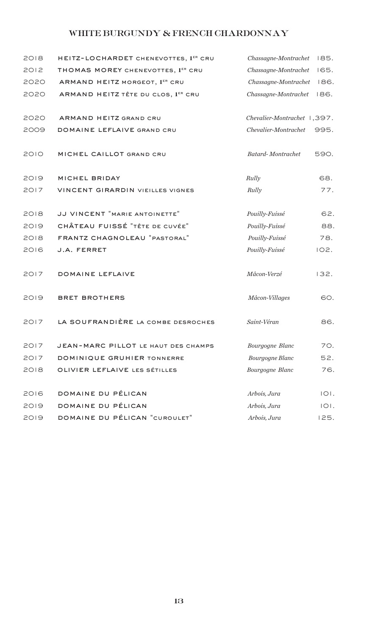# WHITE BURGUNDY & FRENCH CHARDONNAY

| 2018 | HEITZ-LOCHARDET CHENEVOTTES, 1ER CRU    | Chassagne-Montrachet        | 185.    |
|------|-----------------------------------------|-----------------------------|---------|
| 2012 | THOMAS MOREY CHENEVOTTES, 1ER CRU       | Chassagne-Montrachet        | 165.    |
| 2020 | ARMAND HEITZ MORGEOT, 1ER CRU           | Chassagne-Montrachet        | 186.    |
| 2020 | ARMAND HEITZ TÊTE DU CLOS, 1ER CRU      | Chassagne-Montrachet        | 186.    |
| 2020 | ARMAND HEITZ GRAND CRU                  | Chevalier-Montrachet 1,397. |         |
| 2009 | DOMAINE LEFLAIVE GRAND CRU              | Chevalier-Montrachet        | 995.    |
|      |                                         |                             |         |
| 2010 | MICHEL CAILLOT GRAND CRU                | <b>Batard-Montrachet</b>    | 590.    |
| 2019 | MICHEL BRIDAY                           | Rully                       | 68.     |
| 2017 | <b>VINCENT GIRARDIN VIEILLES VIGNES</b> | Rully                       | 77.     |
| 2018 | JJ VINCENT "MARIE ANTOINETTE"           | Pouilly-Fuissé              | 62.     |
| 2019 | CHÂTEAU FUISSÉ "TÊTE DE CUVÉE"          | Pouilly-Fuissé              | 88.     |
| 2018 | FRANTZ CHAGNOLEAU "PASTORAL"            | Pouilly-Fuissé              | 78.     |
| 2016 | J.A. FERRET                             | Pouilly-Fuissé              | 102.    |
| 2017 | DOMAINE LEFLAIVE                        | Mâcon-Verzé                 | 132.    |
| 2019 | <b>BRET BROTHERS</b>                    | Mâcon-Villages              | 60.     |
| 2017 | LA SOUFRANDIÈRE LA COMBE DESROCHES      | Saint-Véran                 | 86.     |
| 2017 | JEAN-MARC PILLOT LE HAUT DES CHAMPS     | Bourgogne Blanc             | 70.     |
| 2017 | DOMINIQUE GRUHIER TONNERRE              | Bourgogne Blanc             | 52.     |
| 2018 | OLIVIER LEFLAIVE LES SÉTILLES           | Bourgogne Blanc             | 76.     |
| 2016 | DOMAINE DU PÉLICAN                      | Arbois, Jura                | 101.    |
| 2019 | DOMAINE DU PÉLICAN                      | Arbois, Jura                | $ O $ . |
| 2019 | DOMAINE DU PÉLICAN "CUROULET"           | Arbois, Jura                | 125.    |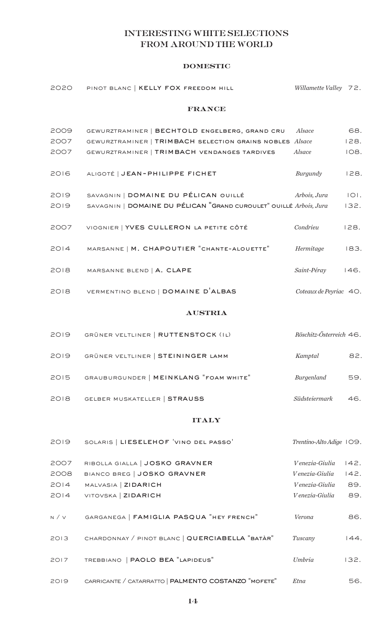## INTERESTING WHITE SELECTIONS FROM AROUND THE WORLD

#### domestic

| 2020  | PINOT BLANC   KELLY FOX FREEDOM HILL                               | Willamette Valley 72.    |      |
|-------|--------------------------------------------------------------------|--------------------------|------|
|       | <b>FRANCE</b>                                                      |                          |      |
| 2009  | GEWURZTRAMINER   BECHTOLD ENGELBERG, GRAND CRU                     | Alsace                   | 68.  |
| 2007  | GEWURZTRAMINER   TRIMBACH SELECTION GRAINS NOBLES Alsace           |                          | 128. |
| 2007  | GEWURZTRAMINER   TRIMBACH VENDANGES TARDIVES                       | Alsace                   | 108. |
| 2016  | ALIGOTÉ   JEAN-PHILIPPE FICHET                                     | Burgundy                 | 128. |
| 2019  | SAVAGNIN   DOMAINE DU PÉLICAN OUILLÉ                               | Arbois, Jura             | IOI. |
| 2019  | SAVAGNIN   DOMAINE DU PÉLICAN "GRAND CUROULET" OUILLÉ Arbois, Jura |                          | 132. |
| 2007  | VIOGNIER   YVES CULLERON LA PETITE CÔTÉ                            | Condrieu                 | 128. |
| 2014  | MARSANNE   M. CHAPOUTIER "CHANTE-ALOUETTE"                         | Hermitage                | 183. |
| 2018  | MARSANNE BLEND   A. CLAPE                                          | Saint-Péray              | 146. |
| 2018  | VERMENTINO BLEND   DOMAINE D'ALBAS                                 | Coteaux de Peyriac 40.   |      |
|       | <b>AUSTRIA</b>                                                     |                          |      |
| 2019  | GRÜNER VELTLINER   RUTTENSTOCK (IL)                                | Röschitz-Österreich 46.  |      |
| 2019  | GRÜNER VELTLINER   STEININGER LAMM                                 | Kamptal                  | 82.  |
| 2015  | GRAUBURGUNDER   MEINKLANG "FOAM WHITE"                             | Burgenland               | 59.  |
| 2018  | <b>GELBER MUSKATELLER   STRAUSS</b>                                | Südsteiermark            | 46.  |
|       | <b>ITALY</b>                                                       |                          |      |
| 2019  | SOLARIS   LIESELEHOF 'VINO DEL PASSO'                              | Trentino-Alto Adige IO9. |      |
| 2007  | RIBOLLA GIALLA   JOSKO GRAVNER                                     | Venezia-Giulia           | 142. |
| 2008  | BIANCO BREG   JOSKO GRAVNER                                        | Venezia-Giulia           | 142. |
| 2014  | MALVASIA   ZIDARICH                                                | Venezia-Giulia           | 89.  |
| 2014  | VITOVSKA   ZIDARICH                                                | Venezia-Giulia           | 89.  |
| N / V | GARGANEGA   FAMIGLIA PASQUA "HEY FRENCH"                           | Verona                   | 86.  |
| 2013  | CHARDONNAY / PINOT BLANC   QUERCIABELLA "BATÀR"                    | Tuscany                  | 144. |
| 2017  | TREBBIANO   PAOLO BEA "LAPIDEUS"                                   | Umbria                   | 132. |
| 2019  | CARRICANTE / CATARRATTO   PALMENTO COSTANZO "MOFETE"               | Etna                     | 56.  |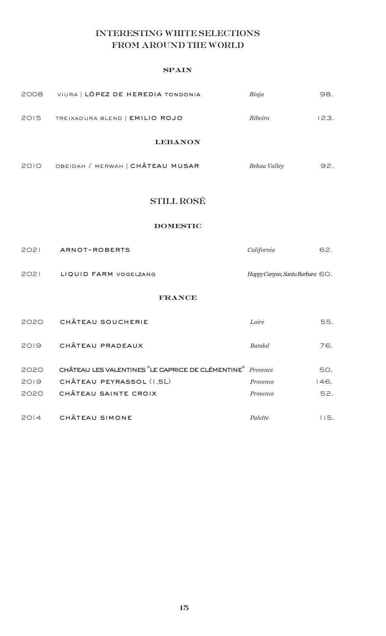## INTERESTING WHITE SELECTIONS FROM AROUND THE WORLD

#### **SPAIN**

| 2008 | VIURA   LÓPEZ DE HEREDIA TONDONIA     | Rioja        | 98.  |
|------|---------------------------------------|--------------|------|
|      | 2015 TREIXADURA BLEND   EMILIO ROJO   | Ribeiro      | 123. |
|      | <b>LEBANON</b>                        |              |      |
|      | 2010 OBEIDAH / MERWAH   CHÂTEAU MUSAR | Bekaa Valley | 92.  |
|      | <b>STILL ROSÉ</b><br><b>DOMESTIC</b>  |              |      |

| 2021 | ARNOT-ROBERTS         | California                      | 62. |
|------|-----------------------|---------------------------------|-----|
| 2021 | LIQUID FARM VOGELZANG | Happy Canyon, Santa Barbara 60. |     |

#### france

| 2020 | CHÂTEAU SOUCHERIE                                          | Loire         | 55.  |
|------|------------------------------------------------------------|---------------|------|
| 2019 | CHÂTEAU PRADEAUX                                           | <b>Bandol</b> | 76.  |
| 2020 | CHÂTEAU LES VALENTINES "LE CAPRICE DE CLÉMENTINE" Provence |               | 50.  |
| 2019 | CHÂTEAU PEYRASSOL (I.5L)                                   | Provence      | 146. |
| 2020 | CHÂTEAU SAINTE CROIX                                       | Provence      | 52.  |
| 2014 | CHÂTEAU SIMONE                                             | Palette       | 15.  |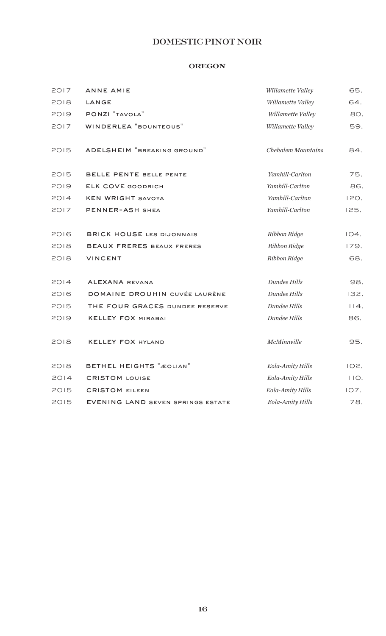## DOMESTIC PINOT NOIR

#### **OREGON**

| 2017 | <b>ANNE AMIE</b>                         | Willamette Valley         | 65.  |
|------|------------------------------------------|---------------------------|------|
| 2018 | LANGE                                    | Willamette Valley         | 64.  |
| 2019 | PONZI "TAVOLA"                           | Willamette Valley         | 80.  |
| 2017 | <b>WINDERLEA "BOUNTEOUS"</b>             | Willamette Valley         | 59.  |
| 2015 | ADELSHEIM "BREAKING GROUND"              | <b>Chehalem Mountains</b> | 84.  |
| 2015 | BELLE PENTE BELLE PENTE                  | Yamhill-Carlton           | 75.  |
| 2019 | <b>ELK COVE GOODRICH</b>                 | Yamhill-Carlton           | 86.  |
| 2014 | <b>KEN WRIGHT SAVOYA</b>                 | Yamhill-Carlton           | 120. |
| 2017 | PENNER-ASH SHEA                          | Yamhill-Carlton           | 125. |
| 2016 | <b>BRICK HOUSE LES DIJONNAIS</b>         | Ribbon Ridge              | 104. |
| 2018 | <b>BEAUX FRERES BEAUX FRERES</b>         | Ribbon Ridge              | 179. |
| 2018 | VINCENT                                  | Ribbon Ridge              | 68.  |
| 2014 | ALEXANA REVANA                           | Dundee Hills              | 98.  |
| 2016 | DOMAINE DROUHIN CUVÉE LAURÈNE            | Dundee Hills              | 132. |
| 2015 | THE FOUR GRACES DUNDEE RESERVE           | Dundee Hills              | 14.  |
| 2019 | <b>KELLEY FOX MIRABAI</b>                | Dundee Hills              | 86.  |
| 2018 | <b>KELLEY FOX HYLAND</b>                 | McMinnville               | 95.  |
| 2018 | BETHEL HEIGHTS "ÆOLIAN"                  | Eola-Amity Hills          | 102. |
| 2014 | <b>CRISTOM LOUISE</b>                    | Eola-Amity Hills          | 110. |
| 2015 | <b>CRISTOM EILEEN</b>                    | Eola-Amity Hills          | 107. |
| 2015 | <b>EVENING LAND SEVEN SPRINGS ESTATE</b> | Eola-Amity Hills          | 78.  |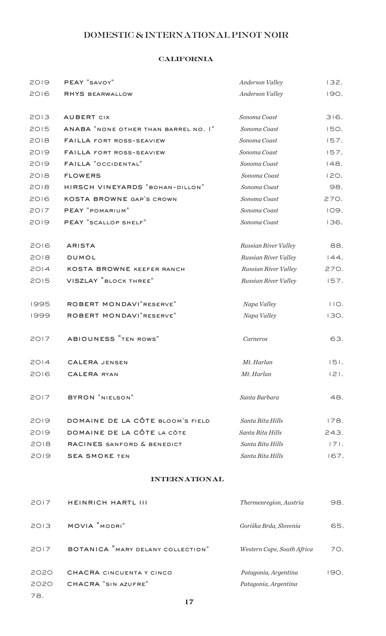## DOMESTIC & INTERNATIONAL PINOT NOIR

## california

| PEAY "SAVOY"                         | Anderson Valley      | 132.        |
|--------------------------------------|----------------------|-------------|
| <b>RHYS BEARWALLOW</b>               | Anderson Valley      | <b>190.</b> |
|                                      |                      |             |
| <b>AUBERT CIX</b>                    | Sonoma Coast         | 316.        |
| ANABA "NONE OTHER THAN BARREL NO. I" | Sonoma Coast         | 150.        |
| <b>FAILLA FORT ROSS-SEAVIEW</b>      | Sonoma Coast         | 157.        |
| <b>FAILLA FORT ROSS-SEAVIEW</b>      | Sonoma Coast         | 157.        |
| <b>FAILLA "OCCIDENTAL"</b>           | Sonoma Coast         | 148.        |
| <b>FLOWERS</b>                       | Sonoma Coast         | 120.        |
| HIRSCH VINEYARDS "BOHAN-DILLON"      | Sonoma Coast         | 98.         |
| <b>KOSTA BROWNE GAP'S CROWN</b>      | Sonoma Coast         | 270.        |
| PEAY "POMARIUM"                      | Sonoma Coast         | 109.        |
| PEAY "SCALLOP SHELF"                 | Sonoma Coast         | 136.        |
|                                      |                      |             |
| <b>ARISTA</b>                        | Russian River Valley | 88.         |
| <b>DUMOL</b>                         | Russian River Valley | 144.        |
| <b>KOSTA BROWNE KEEFER RANCH</b>     | Russian River Valley | 270.        |
| VISZLAY "BLOCK THREE"                | Russian River Valley | 157.        |
|                                      |                      |             |
| ROBERT MONDAVI "RESERVE"             | Napa Valley          | 110.        |
| ROBERT MONDAVI "RESERVE"             | Napa Valley          | 130.        |
|                                      |                      |             |
| ABIOUNESS "TEN ROWS"                 | Carneros             | 63.         |
|                                      |                      |             |
| <b>CALERA JENSEN</b>                 | Mt. Harlan           | $ 5 $ .     |
| <b>CALERA RYAN</b>                   | Mt. Harlan           | $ 2 $ .     |
|                                      |                      |             |
| BYRON "NIELSON"                      | Santa Barbara        | 48.         |
|                                      |                      |             |
| DOMAINE DE LA CÔTE BLOOM'S FIELD     | Santa Rita Hills     | 178.        |
| DOMAINE DE LA CÔTE LA CÔTE           | Santa Rita Hills     | 243.        |
| RACINES SANFORD & BENEDICT           | Santa Rita Hills     | $ 7 $ .     |
| <b>SEA SMOKE TEN</b>                 | Santa Rita Hills     | 167.        |
|                                      |                      |             |

#### international

| 2017 | <b>HEINRICH HARTL III</b>         | Thermenregion, Austria     | 98.  |
|------|-----------------------------------|----------------------------|------|
| 2013 | MOVIA "MODRI"                     | Goriška Brda, Slovenia     | 65.  |
| 2017 | BOTANICA "MARY DELANY COLLECTION" | Western Cape, South Africa | 70.  |
| 2020 | CHACRA CINCUENTA Y CINCO          | Patagonia, Argentina       | 190. |
| 2020 | CHACRA "SIN AZUFRE"               | Patagonia, Argentina       |      |

78.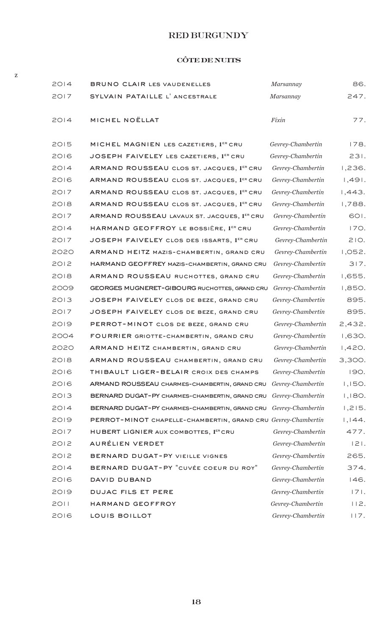## RED BURGUNDY

## côte de nuits

z

| 2014 | <b>BRUNO CLAIR LES VAUDENELLES</b>                            | Marsannay         | 86.     |
|------|---------------------------------------------------------------|-------------------|---------|
| 2017 | SYLVAIN PATAILLE L'ANCESTRALE                                 | Marsannay         | 247.    |
|      |                                                               |                   |         |
| 2014 | MICHEL NOËLLAT                                                | Fixin             | 77.     |
|      |                                                               |                   |         |
| 2015 | MICHEL MAGNIEN LES CAZETIERS, 1ER CRU                         | Gevrey-Chambertin | 178.    |
| 2016 | JOSEPH FAIVELEY LES CAZETIERS, 1ER CRU                        | Gevrey-Chambertin | 231.    |
| 2014 | ARMAND ROUSSEAU CLOS ST. JACQUES, 1ER CRU                     | Gevrey-Chambertin | 1,236.  |
| 2016 | ARMAND ROUSSEAU CLOS ST. JACQUES, 1ER CRU                     | Gevrey-Chambertin | 1,491.  |
| 2017 | ARMAND ROUSSEAU CLOS ST. JACQUES, 1ER CRU                     | Gevrey-Chambertin | 1,443.  |
| 2018 | ARMAND ROUSSEAU CLOS ST. JACQUES, 1ER CRU                     | Gevrey-Chambertin | 1,788.  |
| 2017 | ARMAND ROUSSEAU LAVAUX ST. JACQUES, 1ER CRU                   | Gevrey-Chambertin | 601.    |
| 2014 | HARMAND GEOFFROY LE BOSSIÈRE, 1ER CRU                         | Gevrey-Chambertin | 170.    |
| 2017 | JOSEPH FAIVELEY CLOS DES ISSARTS, 1ER CRU                     | Gevrey-Chambertin | 210.    |
| 2020 | ARMAND HEITZ MAZIS-CHAMBERTIN, GRAND CRU                      | Gevrey-Chambertin | 1,052.  |
| 2012 | HARMAND GEOFFREY MAZIS-CHAMBERTIN, GRAND CRU                  | Gevrey-Chambertin | 317.    |
| 2018 | ARMAND ROUSSEAU RUCHOTTES, GRAND CRU                          | Gevrey-Chambertin | 1,655.  |
| 2009 | GEORGES MUGNERET-GIBOURG RUCHOTTES, GRAND CRU                 | Gevrey-Chambertin | 1,850.  |
| 2013 | JOSEPH FAIVELEY CLOS DE BEZE, GRAND CRU                       | Gevrey-Chambertin | 895.    |
| 2017 | JOSEPH FAIVELEY CLOS DE BEZE, GRAND CRU                       | Gevrey-Chambertin | 895.    |
| 2019 | PERROT-MINOT CLOS DE BEZE, GRAND CRU                          | Gevrey-Chambertin | 2,432.  |
| 2004 | FOURRIER GRIOTTE-CHAMBERTIN, GRAND CRU                        | Gevrey-Chambertin | 1,630.  |
| 2020 | ARMAND HEITZ CHAMBERTIN, GRAND CRU                            | Gevrey-Chambertin | 1,420.  |
| 2018 | ARMAND ROUSSEAU CHAMBERTIN, GRAND CRU                         | Gevrey-Chambertin | 3,300.  |
| 2016 | THIBAULT LIGER-BELAIR CROIX DES CHAMPS                        | Gevrey-Chambertin | 190.    |
| 2016 | ARMAND ROUSSEAU CHARMES-CHAMBERTIN, GRAND CRU                 | Gevrey-Chambertin | 1,150.  |
| 2013 | BERNARD DUGAT-PY CHARMES-CHAMBERTIN, GRAND CRU                | Gevrey-Chambertin | 1,180.  |
| 2014 | BERNARD DUGAT-PY CHARMES-CHAMBERTIN, GRAND CRU                | Gevrey-Chambertin | 1,215.  |
| 2019 | PERROT-MINOT CHAPELLE-CHAMBERTIN, GRAND CRU Gevrey-Chambertin |                   | 1,144.  |
| 2017 | HUBERT LIGNIER AUX COMBOTTES, 1ER CRU                         | Gevrey-Chambertin | 477.    |
| 2012 | AURÉLIEN VERDET                                               | Gevrey-Chambertin | $ 2 $ . |
| 2012 | BERNARD DUGAT-PY VIEILLE VIGNES                               | Gevrey-Chambertin | 265.    |
| 2014 | BERNARD DUGAT-PY "CUVÉE COEUR DU ROY"                         | Gevrey-Chambertin | 374.    |
| 2016 | DAVID DUBAND                                                  | Gevrey-Chambertin | 146.    |
| 2019 | <b>DUJAC FILS ET PERE</b>                                     | Gevrey-Chambertin | 171.    |
| 2011 | HARMAND GEOFFROY                                              | Gevrey-Chambertin | 112.    |
| 2016 | LOUIS BOILLOT                                                 | Gevrey-Chambertin | 117.    |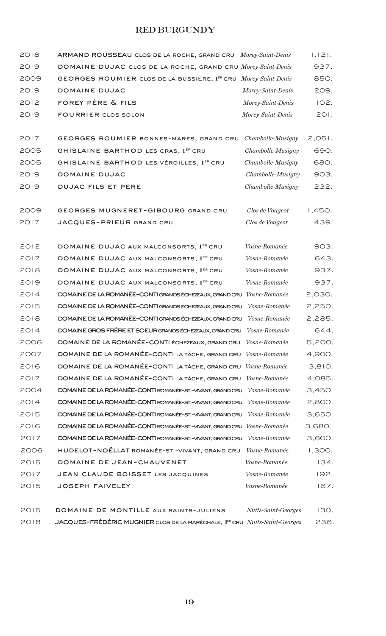## RED BURGUNDY

| 2018 | ARMAND ROUSSEAU CLOS DE LA ROCHE, GRAND CRU Morey-Saint-Denis                                 |                      | 1,121. |
|------|-----------------------------------------------------------------------------------------------|----------------------|--------|
| 2019 | DOMAINE DUJAC CLOS DE LA ROCHE, GRAND CRU Morey-Saint-Denis                                   |                      | 937.   |
| 2009 | GEORGES ROUMIER CLOS DE LA BUSSIÈRE, 1ER CRU Morey-Saint-Denis                                |                      | 850.   |
| 2019 | DOMAINE DUJAC                                                                                 | Morey-Saint-Denis    | 209.   |
| 2012 | FOREY PÈRE & FILS                                                                             | Morey-Saint-Denis    | 102.   |
| 2019 | <b>FOURRIER CLOS SOLON</b>                                                                    | Morey-Saint-Denis    | 201.   |
| 2017 | GEORGES ROUMIER BONNES-MARES, GRAND CRU                                                       | Chambolle-Musigny    | 2,051. |
| 2005 | GHISLAINE BARTHOD LES CRAS, 1ER CRU                                                           | Chambolle-Musigny    | 690.   |
| 2005 | GHISLAINE BARTHOD LES VÉROILLES, 1ER CRU                                                      | Chambolle-Musigny    | 680.   |
| 2019 | DOMAINE DUJAC                                                                                 | Chambolle-Musigny    | 903.   |
| 2019 | <b>DUJAC FILS ET PERE</b>                                                                     | Chambolle-Musigny    | 232.   |
| 2009 | GEORGES MUGNERET-GIBOURG GRAND CRU                                                            | Clos de Vougeot      | 1,450. |
| 2017 | JACQUES-PRIEUR GRAND CRU                                                                      | Clos de Vougeot      | 439.   |
| 2012 | DOMAINE DUJAC AUX MALCONSORTS, 1ER CRU                                                        | Vosne-Romanée        | 903.   |
| 2017 | DOMAINE DUJAC AUX MALCONSORTS, 1ER CRU                                                        | Vosne-Romanée        | 643.   |
| 2018 | DOMAINE DUJAC AUX MALCONSORTS, 1ER CRU                                                        | Vosne-Romanée        | 937.   |
| 2019 | DOMAINE DUJAC AUX MALCONSORTS, 1ER CRU                                                        | Vosne-Romanée        | 937.   |
| 2014 | DOMAINE DE LA ROMANÉE-CONTI GRANDS ÉCHEZEAUX, GRAND CRU                                       | Vosne-Romanée        | 2,030. |
| 2015 | DOMAINE DE LA ROMANÉE-CONTI GRANDS ÉCHEZEAUX, GRAND CRU                                       | Vosne-Romanée        | 2,250. |
| 2018 | DOMAINE DE LA ROMANÉE-CONTI GRANDS ÉCHEZEAUX, GRAND CRU Vosne-Romanée                         |                      | 2,285. |
| 2014 | DOMAINE GROS FRÈRE ET SOEUR GRANDS ÉCHEZEAUX, GRAND CRU Vosne-Romanée                         |                      | 644.   |
| 2006 | DOMAINE DE LA ROMANÉE-CONTI ÉCHEZEAUX, GRAND CRU Vosne-Romanée                                |                      | 5,200. |
| 2007 | DOMAINE DE LA ROMANÉE-CONTI LA TÂCHE, GRAND CRU Vosne-Romanée                                 |                      | 4,900. |
| 2016 | DOMAINE DE LA ROMANÉE-CONTI LA TÂCHE, GRAND CRU Vosne-Romanée                                 |                      | 3,810. |
| 2017 | DOMAINE DE LA ROMANÉE-CONTI LA TÂCHE, GRAND CRU Vosne-Romanée                                 |                      | 4,085. |
| 2004 | DOMAINE DE LA ROMANÉE-CONTI ROMANÉE-ST.-VIVANT, GRAND CRU                                     | Vosne-Romanée        | 3,450. |
| 2014 | DOMAINE DE LA ROMANÉE-CONTI ROMANÉE-ST.-VIVANT, GRAND CRU                                     | Vosne-Romanée        | 2,800. |
| 2015 | DOMAINE DE LA ROMANÉE-CONTI ROMANÉE-ST.-VIVANT, GRAND CRU                                     | <i>Vosne-Romanée</i> | 3,650. |
| 2016 | DOMAINE DE LA ROMANÉE-CONTI ROMANÉE-ST.-VIVANT, GRAND CRU Vosne-Romanée                       |                      | 3,680. |
| 2017 | DOMAINE DE LA ROMANÉE-CONTI ROMANÉE-ST.-VIVANT, GRAND CRU                                     | Vosne-Romanée        | 3,600. |
| 2006 | HUDELOT-NOËLLAT ROMANÉE-ST.-VIVANT, GRAND CRU                                                 | Vosne-Romanée        | 1,300. |
| 2015 | DOMAINE DE JEAN-CHAUVENET                                                                     | Vosne-Romanée        | 134.   |
| 2017 | JEAN CLAUDE BOISSET LES JACQUINES                                                             | Vosne-Romanée        | 192.   |
| 2015 | <b>JOSEPH FAIVELEY</b>                                                                        | Vosne-Romanée        | 167.   |
| 2015 | DOMAINE DE MONTILLE AUX SAINTS-JULIENS                                                        | Nuits-Saint-Georges  | 130.   |
| 2018 | JACQUES-FRÉDÉRIC MUGNIER CLOS DE LA MARÉCHALE, 1 <sup>ER</sup> CRU <i>Nuits-Saint-Georges</i> |                      | 236.   |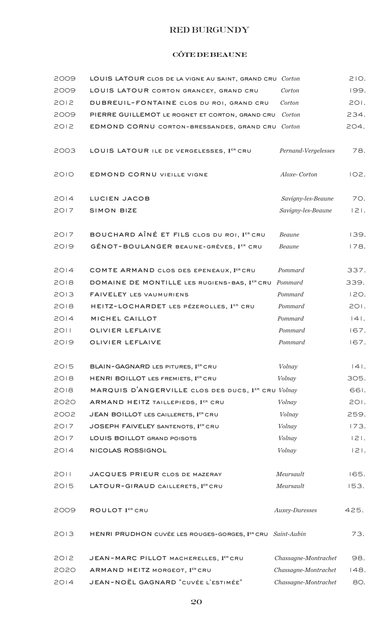## RED BURGUNDY

## côte de beaune

| 2009 | LOUIS LATOUR CLOS DE LA VIGNE AU SAINT, GRAND CRU Corton   |                      | 210.    |
|------|------------------------------------------------------------|----------------------|---------|
| 2009 | LOUIS LATOUR CORTON GRANCEY, GRAND CRU                     | Corton               | 199.    |
| 2012 | DUBREUIL-FONTAINE CLOS DU ROI, GRAND CRU                   | Corton               | 201.    |
| 2009 | PIERRE GUILLEMOT LE ROGNET ET CORTON, GRAND CRU            | Corton               | 234.    |
| 2012 | EDMOND CORNU CORTON-BRESSANDES, GRAND CRU                  | Corton               | 204.    |
| 2003 | LOUIS LATOUR ILE DE VERGELESSES, 1ER CRU                   | Pernand-Vergelesses  | 78.     |
| 2010 | <b>EDMOND CORNU VIEILLE VIGNE</b>                          | Aloxe-Corton         | 102.    |
| 2014 | LUCIEN JACOB                                               | Savigny-les-Beaune   | 70.     |
| 2017 | <b>SIMON BIZE</b>                                          | Savigny-les-Beaune   | $ 2 $ . |
| 2017 | BOUCHARD AÎNÉ ET FILS CLOS DU ROI, 1ER CRU                 | <b>Beaune</b>        | 139.    |
| 2019 | GÉNOT-BOULANGER BEAUNE-GRÈVES, 1ER CRU                     | Beaune               | 178.    |
| 2014 | COMTE ARMAND CLOS DES EPENEAUX, 1ER CRU                    | Pommard              | 337.    |
| 2018 | DOMAINE DE MONTILLE LES RUGIENS-BAS, 1ER CRU               | Pommard              | 339.    |
| 2013 | FAIVELEY LES VAUMURIENS                                    | Pommard              | 120.    |
| 2018 | HEITZ-LOCHARDET LES PÉZEROLLES, 1ER CRU                    | Pommard              | 201.    |
| 2014 | MICHEL CAILLOT                                             | Pommard              | $ 4 $ . |
| 2011 | OLIVIER LEFLAIVE                                           | Pommard              | 167.    |
| 2019 | OLIVIER LEFLAIVE                                           | Pommard              | 167.    |
| 2015 | BLAIN-GAGNARD LES PITURES, 1ER CRU                         | Volnay               | $ 4 $ . |
| 2018 | HENRI BOILLOT LES FREMIETS, 1ER CRU                        | Volnay               | 305.    |
| 2018 | MARQUIS D'ANGERVILLE CLOS DES DUCS, 1ER CRU Volnay         |                      | 661.    |
| 2020 | ARMAND HEITZ TAILLEPIEDS, 1ER CRU                          | Volnay               | 201.    |
| 2002 | JEAN BOILLOT LES CAILLERETS, 1ER CRU                       | Volnay               | 259.    |
| 2017 | JOSEPH FAIVELEY SANTENOTS, 1ER CRU                         | Volnay               | 173.    |
| 2017 | LOUIS BOILLOT GRAND POISOTS                                | Volnay               | $ 2 $ . |
| 2014 | NICOLAS ROSSIGNOL                                          | Volnay               | $ 2 $ . |
| 2011 | JACQUES PRIEUR CLOS DE MAZERAY                             | Meursault            | 165.    |
| 2015 | LATOUR-GIRAUD CAILLERETS, 1ER CRU                          | Meursault            | 153.    |
| 2009 | <b>ROULOT 1ER CRU</b>                                      | Auxey-Duresses       | 425.    |
| 2013 | HENRI PRUDHON CUVÉE LES ROUGES-GORGES, 1ER CRU Saint-Aubin |                      | 73.     |
| 2012 | JEAN-MARC PILLOT MACHERELLES, 1ER CRU                      | Chassagne-Montrachet | 98.     |
| 2020 | ARMAND HEITZ MORGEOT, 1ER CRU                              | Chassagne-Montrachet | 148.    |
| 2014 | JEAN-NOËL GAGNARD "CUVÉE L'ESTIMÉE"                        | Chassagne-Montrachet | 80.     |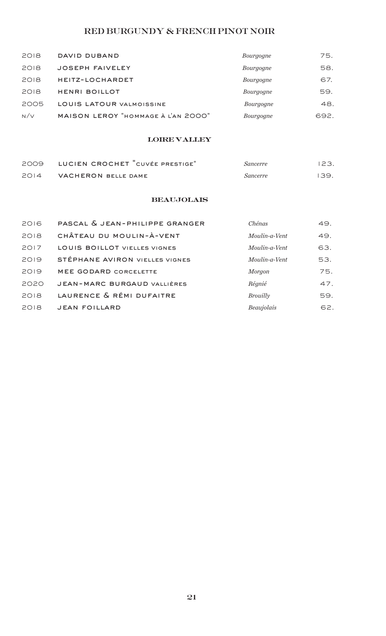## RED BURGUNDY & FRENCH PINOT NOIR

| 2018 | DAVID DUBAND                       | Bourgogne | 75.  |
|------|------------------------------------|-----------|------|
| 2018 | <b>JOSEPH FAIVELEY</b>             | Bourgogne | 58.  |
| 2018 | HEITZ-LOCHARDET                    | Bourgogne | 67.  |
| 2018 | <b>HENRI BOILLOT</b>               | Bourgogne | 59.  |
| 2005 | LOUIS LATOUR VALMOISSINE           | Bourgogne | 48.  |
| N/V  | MAISON LEROY "HOMMAGE À L'AN 2000" | Bourgogne | 692. |

## loire valley

|      | 2009 LUCIEN CROCHET "CUVÉE PRESTIGE" | Sancerre        | 123. |
|------|--------------------------------------|-----------------|------|
| 2014 | VACHERON BELLE DAME                  | <i>Sancerre</i> | 139. |

## **BEAUJOLAIS**

| 2016 | PASCAL & JEAN-PHILIPPE GRANGER      | Chénas          | 49. |
|------|-------------------------------------|-----------------|-----|
| 2018 | CHÂTEAU DU MOULIN-À-VENT            | Moulin-a-Vent   | 49. |
| 2017 | <b>LOUIS BOILLOT VIELLES VIGNES</b> | Moulin-a-Vent   | 63. |
| 2019 | STÉPHANE AVIRON VIELLES VIGNES      | Moulin-a-Vent   | 53. |
| 2019 | MEE GODARD CORCELETTE               | Morgon          | 75. |
| 2020 | <b>JEAN-MARC BURGAUD VALLIÈRES</b>  | Régnié          | 47. |
| 2018 | LAURENCE & RÉMI DUFAITRE            | <b>Brouilly</b> | 59. |
| 2018 | <b>JEAN FOILLARD</b>                | Beaujolais      | 62. |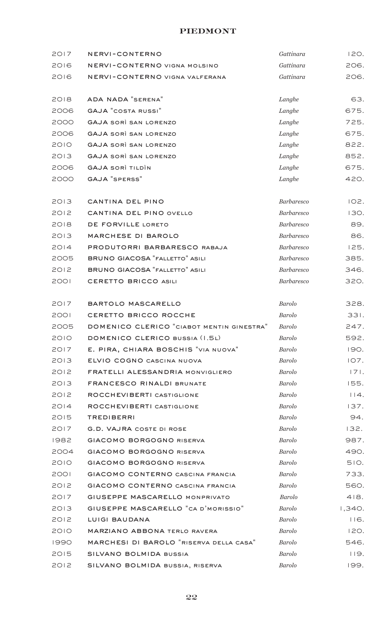#### **PIEDMONT**

| 2017 | NERVI-CONTERNO                            | Gattinara         | 120.   |
|------|-------------------------------------------|-------------------|--------|
| 2016 | NERVI-CONTERNO VIGNA MOLSINO              | Gattinara         | 206.   |
| 2016 | NERVI-CONTERNO VIGNA VALFERANA            | Gattinara         | 206.   |
|      |                                           |                   |        |
| 2018 | ADA NADA "SERENA"                         | Langhe            | 63.    |
| 2006 | <b>GAJA "COSTA RUSSI"</b>                 | Langhe            | 675.   |
| 2000 | <b>GAJA SORÌ SAN LORENZO</b>              | Langhe            | 725.   |
| 2006 | <b>GAJA SORÌ SAN LORENZO</b>              | Langhe            | 675.   |
| 2010 | <b>GAJA SORÌ SAN LORENZO</b>              | Langhe            | 822.   |
| 2013 | <b>GAJA SORÌ SAN LORENZO</b>              | Langhe            | 852.   |
| 2006 | <b>GAJA SORÌ TILDÌN</b>                   | Langhe            | 675.   |
| 2000 | <b>GAJA</b> "SPERSS"                      | Langhe            | 420.   |
|      |                                           |                   |        |
| 2013 | CANTINA DEL PINO                          | <b>Barbaresco</b> | 102.   |
| 2012 | CANTINA DEL PINO OVELLO                   | <b>Barbaresco</b> | 130.   |
| 2018 | DE FORVILLE LORETO                        | <b>Barbaresco</b> | 89.    |
| 2013 | MARCHESE DI BAROLO                        | <b>Barbaresco</b> | 86.    |
| 2014 | PRODUTORRI BARBARESCO RABAJA              | <b>Barbaresco</b> | 125.   |
| 2005 | <b>BRUNO GIACOSA "FALLETTO" ASILI</b>     | <b>Barbaresco</b> | 385.   |
| 2012 | <b>BRUNO GIACOSA "FALLETTO" ASILI</b>     | <b>Barbaresco</b> | 346.   |
| 2001 | CERETTO BRICCO ASILI                      | <b>Barbaresco</b> | 320.   |
|      |                                           |                   |        |
| 2017 | BARTOLO MASCARELLO                        | <b>Barolo</b>     | 328.   |
| 2001 | CERETTO BRICCO ROCCHE                     | <b>Barolo</b>     | 331.   |
| 2005 | DOMENICO CLERICO "CIABOT MENTIN GINESTRA" | <b>Barolo</b>     | 247.   |
| 2010 | DOMENICO CLERICO BUSSIA (I.5L)            | <b>Barolo</b>     | 592.   |
| 2017 | E. PIRA, CHIARA BOSCHIS "VIA NUOVA"       | Barolo            | 190.   |
| 2013 | ELVIO COGNO CASCINA NUOVA                 | Barolo            | 107.   |
| 2012 | FRATELLI ALESSANDRIA MONVIGLIERO          | Barolo            | 171.   |
| 2013 | <b>FRANCESCO RINALDI BRUNATE</b>          | <b>Barolo</b>     | 155.   |
| 2012 | ROCCHEVIBERTI CASTIGLIONE                 | <b>Barolo</b>     | 114.   |
| 2014 | ROCCHEVIBERTI CASTIGLIONE                 | <b>Barolo</b>     | 137.   |
| 2015 | <b>TREDIBERRI</b>                         | <b>Barolo</b>     | 94.    |
| 2017 | <b>G.D. VAJRA COSTE DI ROSE</b>           | <b>Barolo</b>     | 132.   |
| 1982 | GIACOMO BORGOGNO RISERVA                  | Barolo            | 987.   |
| 2004 | <b>GIACOMO BORGOGNO RISERVA</b>           | <b>Barolo</b>     | 490.   |
| 2010 | <b>GIACOMO BORGOGNO RISERVA</b>           | Barolo            | 510.   |
| 2001 | GIACOMO CONTERNO CASCINA FRANCIA          | Barolo            | 733.   |
| 2012 | GIACOMO CONTERNO CASCINA FRANCIA          | Barolo            | 560.   |
| 2017 | GIUSEPPE MASCARELLO MONPRIVATO            | Barolo            | 418.   |
| 2013 | GIUSEPPE MASCARELLO "CA D'MORISSIO"       | Barolo            | 1,340. |
| 2012 | <b>LUIGI BAUDANA</b>                      | Barolo            | 116.   |
| 2010 | <b>MARZIANO ABBONA TERLO RAVERA</b>       | Barolo            | 120.   |
| 1990 | MARCHESI DI BAROLO "RISERVA DELLA CASA"   | Barolo            | 546.   |
| 2015 | SILVANO BOLMIDA BUSSIA                    | <b>Barolo</b>     | 119.   |
| 2012 | SILVANO BOLMIDA BUSSIA, RISERVA           | <b>Barolo</b>     | 199.   |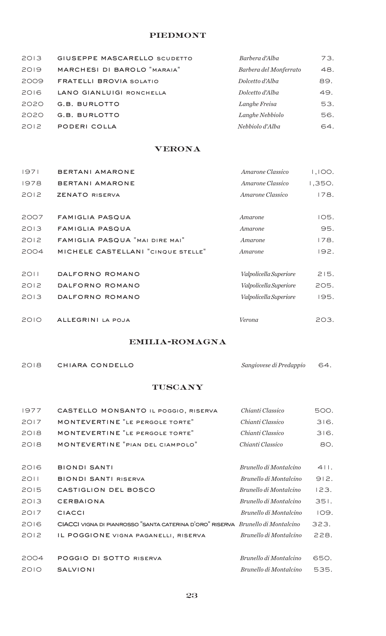## **PIEDMONT**

| 2013 | <b>GIUSEPPE MASCARELLO SCUDETTO</b> | Barbera d'Alba         | 73. |
|------|-------------------------------------|------------------------|-----|
| 2019 | MARCHESI DI BAROLO "MARAIA"         | Barbera del Monferrato | 48. |
| 2009 | <b>FRATELLI BROVIA SOLATIO</b>      | Dolcetto d'Alba        | 89. |
| 2016 | LANO GIANLUIGI RONCHELLA            | Dolcetto d'Alba        | 49. |
| 2020 | G.B. BURLOTTO                       | Langhe Freisa          | 53. |
| 2020 | G.B. BURLOTTO                       | Langhe Nebbiolo        | 56. |
| 2012 | PODERI COLLA                        | Nebbiolo d'Alba        | 64. |

## **VERONA**

| 1971 | <b>BERTANI AMARONE</b>             | Amarone Classico              | 1,100. |
|------|------------------------------------|-------------------------------|--------|
| 1978 | <b>BERTANI AMARONE</b>             | Amarone Classico              | 1,350. |
| 2012 | <b>ZENATO RISERVA</b>              | Amarone Classico              | 178.   |
|      |                                    |                               |        |
| 2007 | <b>FAMIGLIA PASQUA</b>             | Amarone                       | 105.   |
| 2013 | FAMIGLIA PASQUA                    | Amarone                       | 95.    |
| 2012 | FAMIGLIA PASQUA "MAI DIRE MAI"     | Amarone                       | 178.   |
| 2004 | MICHELE CASTELLANI "CINQUE STELLE" | Amarone                       | 192.   |
|      |                                    |                               |        |
| 2011 | DALFORNO ROMANO                    | <i>Valpolicella Superiore</i> | 215.   |
| 2012 | DALFORNO ROMANO                    | Valpolicella Superiore        | 205.   |
| 2013 | DALFORNO ROMANO                    | Valpolicella Superiore        | 195.   |
|      |                                    |                               |        |
| 2010 | ALLEGRINI LA POJA                  | Verona                        | 203.   |

## emilia-romagna

| 2018 | CHIARA CONDELLO |
|------|-----------------|

chiara condello *Sangiovese di Predappio* 64.

## **TUSCANY**

| 1977 | CASTELLO MONSANTO IL POGGIO, RISERVA                                            | Chianti Classico       | 500. |
|------|---------------------------------------------------------------------------------|------------------------|------|
| 2017 | MONTEVERTINE "LE PERGOLE TORTE"                                                 | Chianti Classico       | 316. |
| 2018 | MONTEVERTINE "LE PERGOLE TORTE"                                                 | Chianti Classico       | 316. |
| 2018 | MONTEVERTINE "PIAN DEL CIAMPOLO"                                                | Chianti Classico       | 80.  |
|      |                                                                                 |                        |      |
| 2016 | <b>BIONDI SANTI</b>                                                             | Brunello di Montalcino | 411. |
| 2011 | <b>BIONDI SANTI RISERVA</b>                                                     | Brunello di Montalcino | 912. |
| 2015 | CASTIGLION DEL BOSCO                                                            | Brunello di Montalcino | 123. |
| 2013 | <b>CERBAIONA</b>                                                                | Brunello di Montalcino | 351. |
| 2017 | <b>CIACCI</b>                                                                   | Brunello di Montalcino | 109. |
| 2016 | CIACCI VIGNA DI PIANROSSO "SANTA CATERINA D'ORO" RISERVA Brunello di Montalcino |                        | 323. |
| 2012 | IL POGGIONE VIGNA PAGANELLI, RISERVA                                            | Brunello di Montalcino | 228. |
|      |                                                                                 |                        |      |
| 2004 | POGGIO DI SOTTO RISERVA                                                         | Brunello di Montalcino | 650. |
| 2010 | <b>SALVIONI</b>                                                                 | Brunello di Montalcino | 535. |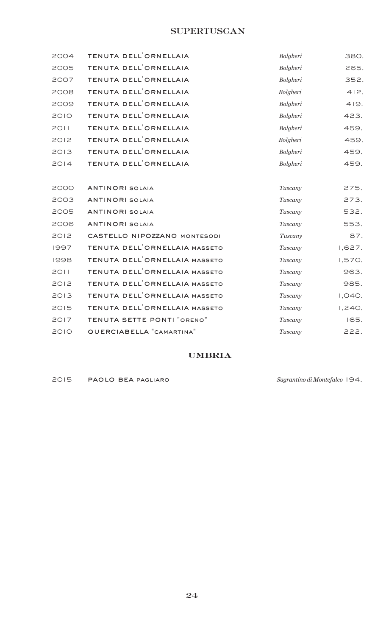## **SUPERTUSCAN**

| 2004 | TENUTA DELL <sup>'</sup> ORNELLAIA         | Bolgheri | 380.   |
|------|--------------------------------------------|----------|--------|
| 2005 | TENUTA DELL'ORNELLAIA                      | Bolgheri | 265.   |
| 2007 | TENUTA DELL <sup>'</sup> ORNELLAIA         | Bolgheri | 352.   |
| 2008 | TENUTA DELL <sup>'</sup> ORNELLAIA         | Bolgheri | 412.   |
| 2009 | TENUTA DELL <sup>'</sup> ORNELLAIA         | Bolgheri | 419.   |
| 2010 | TENUTA DELL <sup>'</sup> ORNELLAIA         | Bolgheri | 423.   |
| 2011 | TENUTA DELL <sup>'</sup> ORNELLAIA         | Bolgheri | 459.   |
| 2012 | TENUTA DELL <sup>'</sup> ORNELLAIA         | Bolgheri | 459.   |
| 2013 | TENUTA DELL <sup>'</sup> ORNELLAIA         | Bolgheri | 459.   |
| 2014 | TENUTA DELL <sup>'</sup> ORNELLAIA         | Bolgheri | 459.   |
|      |                                            |          |        |
| 2000 | <b>ANTINORI SOLAIA</b>                     | Tuscany  | 275.   |
| 2003 | <b>ANTINORI SOLAIA</b>                     | Tuscany  | 273.   |
| 2005 | <b>ANTINORI SOLAIA</b>                     | Tuscany  | 532.   |
| 2006 | <b>ANTINORI SOLAIA</b>                     | Tuscany  | 553.   |
| 2012 | CASTELLO NIPOZZANO MONTESODI               | Tuscany  | 87.    |
| 1997 | TENUTA DELL <sup>'</sup> ORNELLAIA MASSETO | Tuscany  | 1,627. |
| 1998 | TENUTA DELL <sup>'</sup> ORNELLAIA MASSETO | Tuscany  | 1,570. |
| 2011 | TENUTA DELL'ORNELLAIA MASSETO              | Tuscany  | 963.   |
| 2012 | TENUTA DELL'ORNELLAIA MASSETO              | Tuscany  | 985.   |
| 2013 | TENUTA DELL <sup>'</sup> ORNELLAIA MASSETO | Tuscany  | 1,040. |
| 2015 | TENUTA DELL'ORNELLAIA MASSETO              | Tuscany  | 1,240. |
| 2017 | TENUTA SETTE PONTI "ORENO"                 | Tuscany  | 165.   |
| 2010 | QUERCIABELLA "CAMARTINA"                   | Tuscany  | 222.   |

## **UMBRIA**

paolo bea pagliaro *Sagrantino di Montefalco* 194.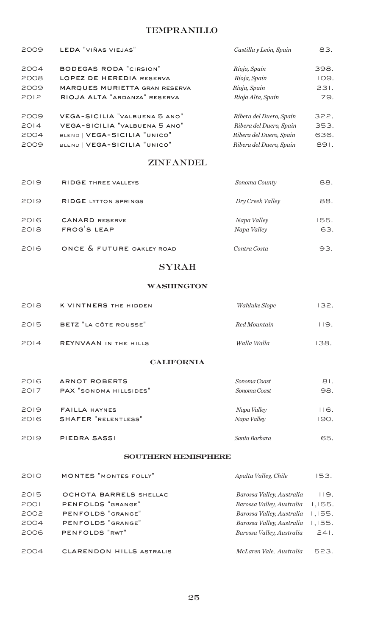## TEMPRANILLO

| 2009 | LEDA "VIÑAS VIEJAS"           | Castilla y León, Spain  | 83.  |
|------|-------------------------------|-------------------------|------|
| 2004 | <b>BODEGAS RODA "CIRSION"</b> | Rioja, Spain            | 398. |
| 2008 | LOPEZ DE HEREDIA RESERVA      | Rioja, Spain            | 109. |
| 2009 | MARQUES MURIETTA GRAN RESERVA | Rioja, Spain            | 231. |
| 2012 | RIOJA ALTA "ARDANZA" RESERVA  | Rioja Alta, Spain       | 79.  |
| 2009 | VEGA-SICILIA "VALBUENA 5 ANO" | Ribera del Duero, Spain | 322. |
| 2014 | VEGA-SICILIA "VALBUENA 5 ANO" | Ribera del Duero, Spain | 353. |
| 2004 | BLEND   VEGA-SICILIA "UNICO"  | Ribera del Duero, Spain | 636. |
| 2009 | BLEND   VEGA-SICILIA "UNICO"  | Ribera del Duero, Spain | 891. |

## ZINFANDEL

| 2019         | <b>RIDGE THREE VALLEYS</b>           | Sonoma County              | 88.         |
|--------------|--------------------------------------|----------------------------|-------------|
| 2019         | <b>RIDGE LYTTON SPRINGS</b>          | Dry Creek Valley           | 88.         |
| 2016<br>2018 | <b>CANARD RESERVE</b><br>FROG'S LEAP | Napa Valley<br>Napa Valley | 155.<br>63. |
| 2016         | ONCE & FUTURE OAKLEY ROAD            | Contra Costa               | 93.         |

## SYRAH

#### **WASHINGTON**

| 2018 | K VINTNERS THE HIDDEN | <i>Wahluke Slope</i> | 132. |
|------|-----------------------|----------------------|------|
| 2015 | BETZ "LA CÔTE ROUSSE" | Red Mountain         | 119. |
| 2014 | REYNVAAN IN THE HILLS | Walla Walla          | 138. |

#### **CALIFORNIA**

| 2016 | <b>ARNOT ROBERTS</b>   | Sonoma Coast  | 81.  |
|------|------------------------|---------------|------|
| 2017 | PAX "SONOMA HILLSIDES" | Sonoma Coast  | 98.  |
| 2019 | <b>FAILLA HAYNES</b>   | Napa Valley   | 116. |
| 2016 | SHAFER "RELENTLESS"    | Napa Valley   | 190. |
| 2019 | PIEDRA SASSI           | Santa Barbara | 65.  |

#### southern hemisphere

| 2010 | <b>MONTES</b> "MONTES FOLLY"    | Apalta Valley, Chile      | 153.   |
|------|---------------------------------|---------------------------|--------|
| 2015 | OCHOTA BARRELS SHELLAC          | Barossa Valley, Australia | 119.   |
| 2001 | PENFOLDS "GRANGE"               | Barossa Valley, Australia | 1,155. |
| 2002 | PENFOLDS "GRANGE"               | Barossa Valley, Australia | 1,155. |
| 2004 | PENFOLDS "GRANGE"               | Barossa Valley, Australia | 1,155. |
| 2006 | PENFOLDS "RWT"                  | Barossa Valley, Australia | 241.   |
|      |                                 |                           |        |
| 2004 | <b>CLARENDON HILLS ASTRALIS</b> | McLaren Vale, Australia   | 523.   |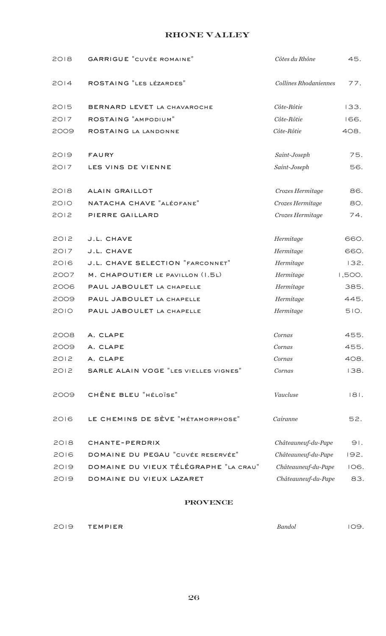## rhone valley

| 2018 | <b>GARRIGUE "CUVÉE ROMAINE"</b>       | Côtes du Rhône        | 45.    |
|------|---------------------------------------|-----------------------|--------|
| 2014 | ROSTAING "LES LÉZARDES"               | Collines Rhodaniennes | 77.    |
| 2015 | BERNARD LEVET LA CHAVAROCHE           | Côte-Rôtie            | 133.   |
| 2017 | ROSTAING "AMPODIUM"                   | Côte-Rôtie            | 166.   |
| 2009 | ROSTAING LA LANDONNE                  | Côte-Rôtie            | 408.   |
| 2019 | <b>FAURY</b>                          | Saint-Joseph          | 75.    |
| 2017 | LES VINS DE VIENNE                    | Saint-Joseph          | 56.    |
| 2018 | <b>ALAIN GRAILLOT</b>                 | Crozes Hermitage      | 86.    |
| 2010 | NATACHA CHAVE "ALÉOFANE"              | Crozes Hermitage      | 80.    |
| 2012 | PIERRE GAILLARD                       | Crozes Hermitage      | 74.    |
| 2012 | J.L. CHAVE                            | Hermitage             | 660.   |
| 2017 | J.L. CHAVE                            | Hermitage             | 660.   |
| 2016 | J.L. CHAVE SELECTION "FARCONNET"      | Hermitage             | 132.   |
| 2007 | M. CHAPOUTIER LE PAVILLON (I.5L)      | Hermitage             | 1,500. |
| 2006 | PAUL JABOULET LA CHAPELLE             | Hermitage             | 385.   |
| 2009 | PAUL JABOULET LA CHAPELLE             | Hermitage             | 445.   |
| 2010 | PAUL JABOULET LA CHAPELLE             | Hermitage             | 510.   |
| 2008 | A. CLAPE                              | Cornas                | 455.   |
| 2009 | A. CLAPE                              | Cornas                | 455.   |
| 2012 | A. CLAPE                              | Cornas                | 408.   |
| 2012 | SARLE ALAIN VOGE "LES VIELLES VIGNES" | Cornas                | 138.   |
| 2009 | CHÊNE BLEU "HÉLOÏSE"                  | Vaucluse              | 181.   |
| 2016 | LE CHEMINS DE SÈVE "MÉTAMORPHOSE"     | Cairanne              | 52.    |
| 2018 | CHANTE-PERDRIX                        | Châteauneuf-du-Pape   | 91.    |
| 2016 | DOMAINE DU PEGAU "CUVÉE RESERVÉE"     | Châteauneuf-du-Pape   | 192.   |
| 2019 | DOMAINE DU VIEUX TÉLÉGRAPHE "LA CRAU" | Châteauneuf-du-Pape   | 106.   |
| 2019 | DOMAINE DU VIEUX LAZARET              | Châteauneuf-du-Pape   | 83.    |
|      | DDAVENCE                              |                       |        |

**PROVENCE** 

| 2019<br>$\overline{\phantom{a}}$<br>$\sim$ 1<br>______ | <b>TEMPIFR</b> |  | Bandoi<br>. | .<br>-<br>$\sim$ |
|--------------------------------------------------------|----------------|--|-------------|------------------|
|                                                        |                |  |             |                  |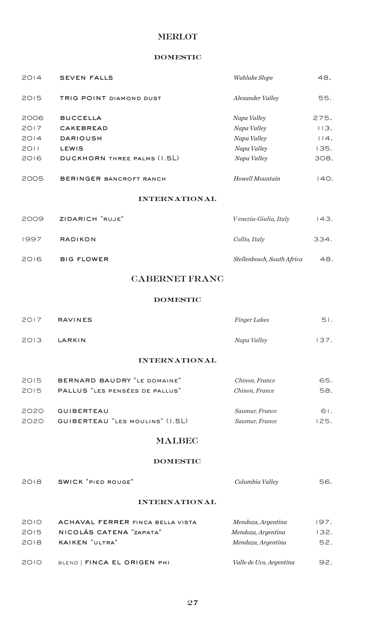## MERLOT

#### domestic

| 2014 | <b>SEVEN FALLS</b>             | Wahluke Slope         | 48.  |
|------|--------------------------------|-----------------------|------|
| 2015 | TRIG POINT DIAMOND DUST        | Alexander Valley      | 55.  |
| 2006 | <b>BUCCELLA</b>                | Napa Valley           | 275. |
| 2017 | <b>CAKEBREAD</b>               | Napa Valley           | 113. |
| 2014 | <b>DARIOUSH</b>                | Napa Valley           | 114. |
| 2011 | <b>LEWIS</b>                   | Napa Valley           | 135. |
| 2016 | DUCKHORN THREE PALMS (1.5L)    | Napa Valley           | 308. |
| 2005 | <b>BERINGER BANCROFT RANCH</b> | Howell Mountain       | 140. |
|      | <b>INTERNATIONAL</b>           |                       |      |
| 2009 | ZIDARICH "RUJE"                | Venezia-Giulia, Italy | 143. |

| 1997 | <b>RADIKON</b>    | Collio, Italy              | 334. |
|------|-------------------|----------------------------|------|
| 2016 | <b>BIG FLOWER</b> | Stellenbosch, South Africa | 48.  |

## CABERNET FRANC

#### domestic

| 2017 | <b>RAVINES</b> | Finger Lakes | 51.  |
|------|----------------|--------------|------|
| 2013 | LARKIN         | Napa Valley  | 137. |
|      |                |              |      |

#### international

| 2015 | BERNARD BAUDRY "LE DOMAINE"     | Chinon, France | 65.  |
|------|---------------------------------|----------------|------|
| 2015 | PALLUS "LES PENSÉES DE PALLUS"  | Chinon, France | 58.  |
| 2020 | <b>GUIBERTEAU</b>               | Saumur, France | 61.  |
| 2020 | GUIBERTEAU "LES MOULINS" (1.5L) | Saumur, France | 125. |

## MALBEC

#### domestic

| 2018 | SWICK "PIED ROUGE" | Columbia Valley | 56. |
|------|--------------------|-----------------|-----|
|      | INTERNATIONAL      |                 |     |

## international

| 2010 | <b>ACHAVAL FERRER FINCA BELLA VISTA</b> | Mendoza, Argentina      | 197. |
|------|-----------------------------------------|-------------------------|------|
| 2015 | NICOLÁS CATENA "ZAPATA"                 | Mendoza, Argentina      | 132. |
| 2018 | KAIKEN "ULTRA"                          | Mendoza, Argentina      | 52.  |
| 2010 | BLEND   FINCA EL ORIGEN PHI             | Valle de Uco, Argentina | 92.  |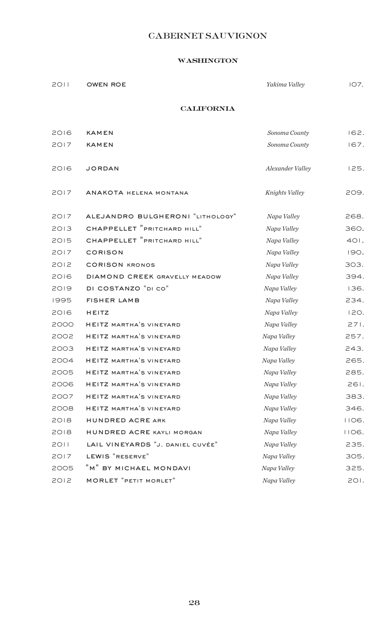# CABERNET SAUVIGNON

## **washington**

| 2011 | OWEN ROE | Yakima Valley | IO7. |
|------|----------|---------------|------|
|      |          |               |      |

#### california

| 2016 | <b>KAMEN</b>                     | Sonoma County           | 162.  |
|------|----------------------------------|-------------------------|-------|
| 2017 | <b>KAMEN</b>                     | Sonoma County           | 167.  |
| 2016 | <b>JORDAN</b>                    | <b>Alexander Valley</b> | 125.  |
| 2017 | ANAKOTA HELENA MONTANA           | Knights Valley          | 209.  |
| 2017 | ALEJANDRO BULGHERONI "LITHOLOGY" | Napa Valley             | 268.  |
| 2013 | CHAPPELLET "PRITCHARD HILL"      | Napa Valley             | 360.  |
| 2015 | CHAPPELLET "PRITCHARD HILL"      | Napa Valley             | 401.  |
| 2017 | <b>CORISON</b>                   | Napa Valley             | 190.  |
| 2012 | <b>CORISON KRONOS</b>            | Napa Valley             | 303.  |
| 2016 | DIAMOND CREEK GRAVELLY MEADOW    | Napa Valley             | 394.  |
| 2019 | DI COSTANZO "DI CO"              | Napa Valley             | 136.  |
| 1995 | <b>FISHER LAMB</b>               | Napa Valley             | 234.  |
| 2016 | HEITZ                            | Napa Valley             | 120.  |
| 2000 | <b>HEITZ MARTHA'S VINEYARD</b>   | Napa Valley             | 271.  |
| 2002 | <b>HEITZ MARTHA'S VINEYARD</b>   | Napa Valley             | 257.  |
| 2003 | <b>HEITZ MARTHA'S VINEYARD</b>   | Napa Valley             | 243.  |
| 2004 | <b>HEITZ MARTHA'S VINEYARD</b>   | Napa Valley             | 265.  |
| 2005 | <b>HEITZ MARTHA'S VINEYARD</b>   | Napa Valley             | 285.  |
| 2006 | <b>HEITZ MARTHA'S VINEYARD</b>   | Napa Valley             | 261.  |
| 2007 | HEITZ MARTHA'S VINEYARD          | Napa Valley             | 383.  |
| 2008 | <b>HEITZ MARTHA'S VINEYARD</b>   | Napa Valley             | 346.  |
| 2018 | HUNDRED ACRE ARK                 | Napa Valley             | IIO6. |
| 2018 | HUNDRED ACRE KAYLI MORGAN        | Napa Valley             | IIO6. |
| 2011 | LAIL VINEYARDS "J. DANIEL CUVÉE" | Napa Valley             | 235.  |
| 2017 | LEWIS "RESERVE"                  | Napa Valley             | 305.  |
| 2005 | "M" BY MICHAEL MONDAVI           | Napa Valley             | 325.  |
| 2012 | <b>MORLET</b> "PETIT MORLET"     | Napa Valley             | 201.  |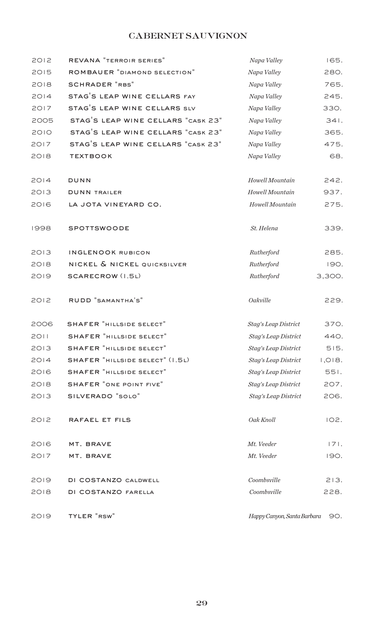# CABERNET SAUVIGNON

| 2012 | REVANA "TERROIR SERIES"            | Napa Valley                 | 165.        |
|------|------------------------------------|-----------------------------|-------------|
| 2015 | ROMBAUER "DIAMOND SELECTION"       | Napa Valley                 | 280.        |
| 2018 | <b>SCHRADER "RBS"</b>              | Napa Valley                 | 765.        |
| 2014 | STAG'S LEAP WINE CELLARS FAY       | Napa Valley                 | 245.        |
| 2017 | STAG'S LEAP WINE CELLARS SLV       | Napa Valley                 | 330.        |
| 2005 | STAG'S LEAP WINE CELLARS "CASK 23" | Napa Valley                 | 341.        |
| 2010 | STAG'S LEAP WINE CELLARS "CASK 23" | Napa Valley                 | 365.        |
| 2017 | STAG'S LEAP WINE CELLARS "CASK 23" | Napa Valley                 | 475.        |
| 2018 | <b>TEXTBOOK</b>                    | Napa Valley                 | 68.         |
| 2014 | DUNN                               | Howell Mountain             | 242.        |
| 2013 | <b>DUNN TRAILER</b>                | Howell Mountain             | 937.        |
| 2016 | LA JOTA VINEYARD CO.               | Howell Mountain             | 275.        |
| 1998 | <b>SPOTTSWOODE</b>                 | St. Helena                  | 339.        |
| 2013 | <b>INGLENOOK RUBICON</b>           | Rutherford                  | 285.        |
| 2018 | NICKEL & NICKEL QUICKSILVER        | Rutherford                  | <b>190.</b> |
| 2019 | SCARECROW (I.5L)                   | Rutherford                  | 3,300.      |
| 2012 | RUDD "SAMANTHA'S"                  | Oakville                    | 229.        |
| 2006 | <b>SHAFER "HILLSIDE SELECT"</b>    | Stag's Leap District        | 370.        |
| 2011 | SHAFER "HILLSIDE SELECT"           | Stag's Leap District        | 440.        |
| 2013 | <b>SHAFER "HILLSIDE SELECT"</b>    | Stag's Leap District        | 515.        |
| 2014 | SHAFER "HILLSIDE SELECT" (I.5L)    | Stag's Leap District        | 1,018.      |
| 2016 | <b>SHAFER "HILLSIDE SELECT"</b>    | Stag's Leap District        | 551.        |
| 2018 | SHAFER "ONE POINT FIVE"            | Stag's Leap District        | 207.        |
| 2013 | SILVERADO "SOLO"                   | Stag's Leap District        | 206.        |
| 2012 | RAFAEL ET FILS                     | Oak Knoll                   | 102.        |
| 2016 | MT. BRAVE                          | Mt. Veeder                  | 171.        |
| 2017 | MT. BRAVE                          | Mt. Veeder                  | 190.        |
| 2019 | DI COSTANZO CALDWELL               | Coombsville                 | 213.        |
| 2018 | DI COSTANZO FARELLA                | Coombsville                 | 228.        |
| 2019 | TYLER "RSW"                        | Happy Canyon, Santa Barbara | 90.         |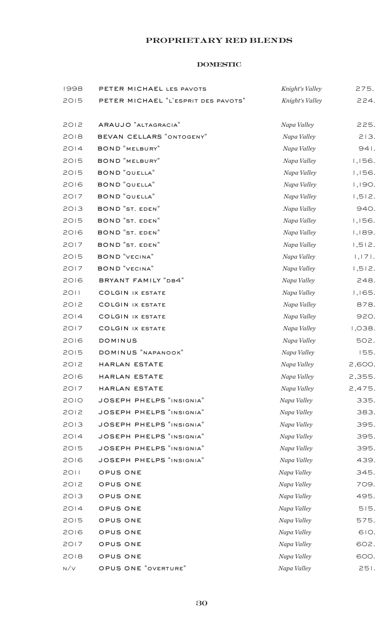## proprietary red blends

#### domestic

| 1998 | PETER MICHAEL LES PAVOTS            | Knight's Valley | 275.   |
|------|-------------------------------------|-----------------|--------|
| 2015 | PETER MICHAEL "L'ESPRIT DES PAVOTS" | Knight's Valley | 224.   |
|      |                                     |                 |        |
| 2012 | ARAUJO "ALTAGRACIA"                 | Napa Valley     | 225.   |
| 2018 | BEVAN CELLARS "ONTOGENY"            | Napa Valley     | 213.   |
| 2014 | <b>BOND</b> "MELBURY"               | Napa Valley     | 941.   |
| 2015 | <b>BOND</b> "MELBURY"               | Napa Valley     | 1,156. |
| 2015 | <b>BOND</b> "QUELLA"                | Napa Valley     | 1,156. |
| 2016 | <b>BOND</b> "QUELLA"                | Napa Valley     | 1,190. |
| 2017 | <b>BOND</b> "QUELLA"                | Napa Valley     | 1,512. |
| 2013 | <b>BOND</b> "ST. EDEN"              | Napa Valley     | 940.   |
| 2015 | <b>BOND</b> "ST. EDEN"              | Napa Valley     | 1,156. |
| 2016 | <b>BOND</b> "ST. EDEN"              | Napa Valley     | 1,189. |
| 2017 | <b>BOND</b> "ST. EDEN"              | Napa Valley     | 1,512. |
| 2015 | <b>BOND "VECINA"</b>                | Napa Valley     | 1,171. |
| 2017 | <b>BOND "VECINA"</b>                | Napa Valley     | 1,512. |
| 2016 | BRYANT FAMILY "DB4"                 | Napa Valley     | 248.   |
| 2011 | <b>COLGIN IX ESTATE</b>             | Napa Valley     | 1,165. |
| 2012 | <b>COLGIN IX ESTATE</b>             | Napa Valley     | 878.   |
| 2014 | <b>COLGIN IX ESTATE</b>             | Napa Valley     | 920.   |
| 2017 | <b>COLGIN IX ESTATE</b>             | Napa Valley     | 1,038. |
| 2016 | <b>DOMINUS</b>                      | Napa Valley     | 502.   |
| 2015 | DOMINUS "NAPANOOK"                  | Napa Valley     | 155.   |
| 2012 | HARLAN ESTATE                       | Napa Valley     | 2,600. |
| 2016 | HARLAN ESTATE                       | Napa Valley     | 2,355. |
| 2017 | HARLAN ESTATE                       | Napa Valley     | 2,475. |
| 2010 | <b>JOSEPH PHELPS "INSIGNIA"</b>     | Napa Valley     | 335.   |
| 2012 | JOSEPH PHELPS "INSIGNIA"            | Napa Valley     | 383.   |
| 2013 | JOSEPH PHELPS "INSIGNIA"            | Napa Valley     | 395.   |
| 2014 | <b>JOSEPH PHELPS "INSIGNIA"</b>     | Napa Valley     | 395.   |
| 2015 | <b>JOSEPH PHELPS "INSIGNIA"</b>     | Napa Valley     | 395.   |
| 2016 | <b>JOSEPH PHELPS "INSIGNIA"</b>     | Napa Valley     | 439.   |
| 2011 | OPUS ONE                            | Napa Valley     | 345.   |
| 2012 | OPUS ONE                            | Napa Valley     | 709.   |
| 2013 | OPUS ONE                            | Napa Valley     | 495.   |
| 2014 | OPUS ONE                            | Napa Valley     | 515.   |
| 2015 | OPUS ONE                            | Napa Valley     | 575.   |
| 2016 | OPUS ONE                            | Napa Valley     | 610.   |
| 2017 | OPUS ONE                            | Napa Valley     | 602.   |
| 2018 | OPUS ONE                            | Napa Valley     | 600.   |
| N/V  | OPUS ONE "OVERTURE"                 | Napa Valley     | 251.   |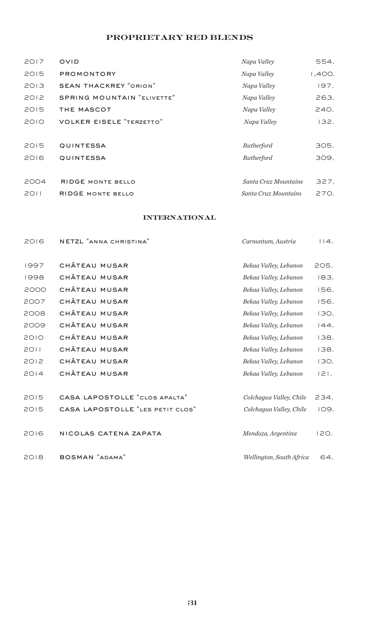## proprietary red blends

| 2017 | <b>OVID</b>                       | Napa Valley          | 554.   |
|------|-----------------------------------|----------------------|--------|
| 2015 | <b>PROMONTORY</b>                 | Napa Valley          | 1,400. |
| 2013 | <b>SEAN THACKREY "ORION"</b>      | Napa Valley          | 197.   |
| 2012 | <b>SPRING MOUNTAIN "ELIVETTE"</b> | Napa Valley          | 263.   |
| 2015 | THE MASCOT                        | Napa Valley          | 240.   |
| 2010 | <b>VOLKER EISELE "TERZETTO"</b>   | Napa Valley          | 132.   |
|      |                                   |                      |        |
| 2015 | <b>QUINTESSA</b>                  | Rutherford           | 305.   |
| 2016 | <b>QUINTESSA</b>                  | Rutherford           | 309.   |
|      |                                   |                      |        |
| 2004 | <b>RIDGE MONTE BELLO</b>          | Santa Cruz Mountains | 327.   |
| 2011 | <b>RIDGE MONTE BELLO</b>          | Santa Cruz Mountains | 270.   |
|      |                                   |                      |        |

## international

| 2016 | NETZL "ANNA CHRISTINA"           | Carnuntum, Austria       | 114.    |
|------|----------------------------------|--------------------------|---------|
| 1997 | CHÂTEAU MUSAR                    | Bekaa Valley, Lebanon    | 205.    |
| 1998 | CHÂTEAU MUSAR                    | Bekaa Valley, Lebanon    | 183.    |
| 2000 | CHÂTEAU MUSAR                    | Bekaa Valley, Lebanon    | 156.    |
| 2007 | CHÂTEAU MUSAR                    | Bekaa Valley, Lebanon    | 156.    |
| 2008 | CHÂTEAU MUSAR                    | Bekaa Valley, Lebanon    | 130.    |
| 2009 | CHÂTEAU MUSAR                    | Bekaa Valley, Lebanon    | 144.    |
| 2010 | CHÂTEAU MUSAR                    | Bekaa Valley, Lebanon    | 138.    |
| 2011 | CHÂTEAU MUSAR                    | Bekaa Valley, Lebanon    | 138.    |
| 2012 | CHÂTEAU MUSAR                    | Bekaa Valley, Lebanon    | 130.    |
| 2014 | CHÂTEAU MUSAR                    | Bekaa Valley, Lebanon    | $ 2 $ . |
|      |                                  |                          |         |
| 2015 | CASA LAPOSTOLLE "CLOS APALTA"    | Colchagua Valley, Chile  | 234.    |
| 2015 | CASA LAPOSTOLLE "LES PETIT CLOS" | Colchagua Valley, Chile  | 109.    |
|      |                                  |                          |         |
| 2016 | NICOLAS CATENA ZAPATA            | Mendoza, Argentina       | 120.    |
|      |                                  |                          |         |
| 2018 | BOSMAN "ADAMA"                   | Wellington, South Africa | 64.     |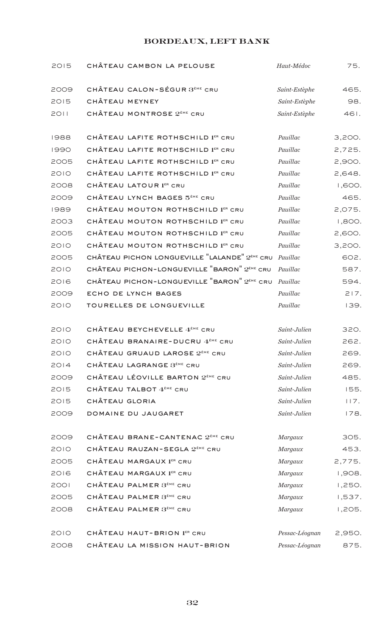## bordeaux, left bank

| 2015        | CHÂTEAU CAMBON LA PELOUSE                                 | Haut-Médoc     | 75.    |
|-------------|-----------------------------------------------------------|----------------|--------|
| 2009        | CHÂTEAU CALON-SÉGUR 3 <sup>èME</sup> CRU                  | Saint-Estèphe  | 465.   |
| 2015        | CHÂTEAU MEYNEY                                            | Saint-Estèphe  | 98.    |
| 2011        | CHÂTEAU MONTROSE 2 <sup>ème</sup> CRU                     | Saint-Estèphe  | 461.   |
| 1988        | CHÂTEAU LAFITE ROTHSCHILD 1ER CRU                         | Pauillac       | 3,200. |
| 1990        | CHÂTEAU LAFITE ROTHSCHILD 1ER CRU                         | Pauillac       | 2,725. |
| 2005        | CHÂTEAU LAFITE ROTHSCHILD 1ER CRU                         | Pauillac       | 2,900. |
| <b>2010</b> | CHÂTEAU LAFITE ROTHSCHILD 1ER CRU                         | Pauillac       | 2,648. |
| 2008        | CHÂTEAU LATOUR 1ER CRU                                    | Pauillac       | 1,600. |
| 2009        | CHÂTEAU LYNCH BAGES 5 <sup>ÈME</sup> CRU                  | Pauillac       | 465.   |
| 1989        | CHÂTEAU MOUTON ROTHSCHILD 1ER CRU                         | Pauillac       | 2,075. |
| 2003        | CHÂTEAU MOUTON ROTHSCHILD 1ER CRU                         | Pauillac       | 1,800. |
| 2005        | CHÂTEAU MOUTON ROTHSCHILD 1ER CRU                         | Pauillac       | 2,600. |
| 2010        | CHÂTEAU MOUTON ROTHSCHILD 1ER CRU                         | Pauillac       | 3,200. |
| 2005        | CHÂTEAU PICHON LONGUEVILLE "LALANDE" 2 <sup>èME</sup> CRU | Pauillac       | 602.   |
| 2010        | CHÂTEAU PICHON-LONGUEVILLE "BARON" 2 <sup>èME</sup> CRU   | Pauillac       | 587.   |
| 2016        | CHÂTEAU PICHON-LONGUEVILLE "BARON" 2 <sup>èME</sup> CRU   | Pauillac       | 594.   |
| 2009        | ECHO DE LYNCH BAGES                                       | Pauillac       | 217.   |
| 2010        | TOURELLES DE LONGUEVILLE                                  | Pauillac       | 139.   |
| 2010        | CHÂTEAU BEYCHEVELLE 4 <sup>ème</sup> CRU                  | Saint-Julien   | 320.   |
| 2010        | CHÂTEAU BRANAIRE-DUCRU 4 <sup>ème</sup> CRU               | Saint-Julien   | 262.   |
| 2010        | CHÂTEAU GRUAUD LAROSE 2 <sup>ème</sup> CRU                | Saint-Julien   | 269.   |
| 2014        | CHÂTEAU LAGRANGE 3 <sup>ème</sup> CRU                     | Saint-Julien   | 269.   |
| 2009        | CHÂTEAU LÉOVILLE BARTON 2 <sup>ème</sup> CRU              | Saint-Julien   | 485.   |
| 2015        | CHÂTEAU TALBOT 4 <sup>ème</sup> CRU                       | Saint-Julien   | 155.   |
| 2015        | CHÂTEAU GLORIA                                            | Saint-Julien   | 117.   |
| 2009        | DOMAINE DU JAUGARET                                       | Saint-Julien   | 178.   |
| 2009        | CHÂTEAU BRANE-CANTENAC 2 <sup>ème</sup> CRU               | Margaux        | 305.   |
| 2010        | CHÂTEAU RAUZAN-SEGLA 2 <sup>èME</sup> CRU                 | Margaux        | 453.   |
| 2005        | CHÂTEAU MARGAUX 1ER CRU                                   | Margaux        | 2,775. |
| 2016        | CHÂTEAU MARGAUX 1ER CRU                                   | Margaux        | 1,908. |
| 2001        | CHÂTEAU PALMER 3 <sup>ème</sup> CRU                       | Margaux        | 1,250. |
| 2005        | CHÂTEAU PALMER 3 <sup>ème</sup> CRU                       | Margaux        | 1,537. |
| 2008        | CHÂTEAU PALMER 3 <sup>ème</sup> CRU                       | Margaux        | 1,205. |
| 2010        | CHÂTEAU HAUT-BRION 1ER CRU                                | Pessac-Léognan | 2,950. |
| 2008        | CHÂTEAU LA MISSION HAUT-BRION                             | Pessac-Léognan | 875.   |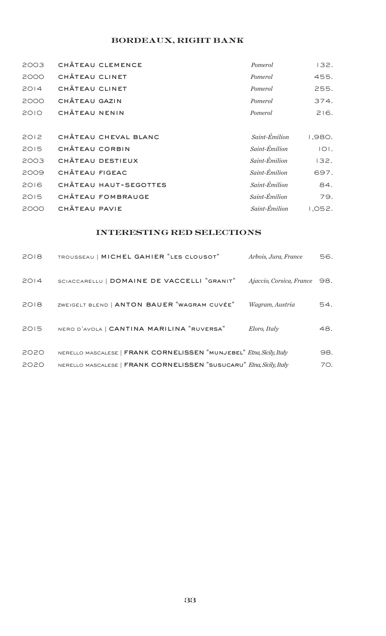# bordeaux, right bank

| 2003 | CHÂTEAU CLEMENCE      | Pomerol       | 132.   |
|------|-----------------------|---------------|--------|
| 2000 | CHÂTEAU CLINET        | Pomerol       | 455.   |
| 2014 | CHÂTEAU CLINET        | Pomerol       | 255.   |
| 2000 | CHÂTEAU GAZIN         | Pomerol       | 374.   |
| 2010 | CHÂTEAU NENIN         | Pomerol       | 216.   |
|      |                       |               |        |
| 2012 | CHÂTEAU CHEVAL BLANC  | Saint-Émilion | 1,980. |
| 2015 | CHÂTEAU CORBIN        | Saint-Émilion | 101.   |
| 2003 | CHÂTEAU DESTIEUX      | Saint-Émilion | 132.   |
| 2009 | CHÂTEAU FIGEAC        | Saint-Émilion | 697.   |
| 2016 | CHÂTEAU HAUT-SEGOTTES | Saint-Émilion | 84.    |
| 2015 | CHÂTEAU FOMBRAUGE     | Saint-Émilion | 79.    |
| 2000 | CHÂTEAU PAVIE         | Saint-Émilion | 1,052. |

## interesting red selections

| 2018 | TROUSSEAU   MICHEL GAHIER "LES CLOUSOT"                              | Arbois, Jura, France         | 56. |
|------|----------------------------------------------------------------------|------------------------------|-----|
| 2014 | SCIACCARELLU   DOMAINE DE VACCELLI "GRANIT"                          | Ajaccio, Corsica, France 98. |     |
| 2018 | ZWEIGELT BLEND   ANTON BAUER "WAGRAM CUVÉE"                          | Wagram, Austria              | 54. |
| 2015 | NERO D'AVOLA   CANTINA MARILINA "RUVERSA"                            | Eloro, Italy                 | 48. |
| 2020 | NERELLO MASCALESE   FRANK CORNELISSEN "MUNJEBEL" Etna, Sicily, Italy |                              | 98. |
| 2020 | NERELLO MASCALESE   FRANK CORNELISSEN "SUSUCARU" Etna, Sicily, Italy |                              | 70. |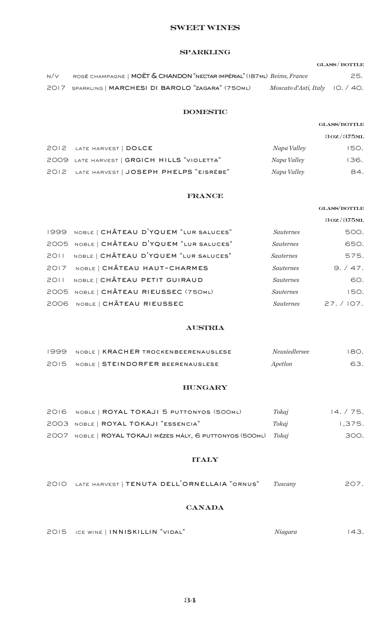#### sweet wines

## sparkling

# $\operatorname{GLASS}/\operatorname{BOTILE}$ n/v rosé champagne | moët & chandon "nectar impérial" (187ml) *Reims, France* 25. 2017 sparkling | marchesi di barolo "zagara" (750ml) *Moscato d'Asti, Italy* 10. / 40.

#### domestic

|                                             |             | 30Z/375ML |
|---------------------------------------------|-------------|-----------|
| 2012 LATE HARVEST   DOLCE                   | Napa Valley | 150.      |
| 2009 LATE HARVEST   GRGICH HILLS "VIOLETTA" | Napa Valley | 136.      |
| 2012 LATE HARVEST   JOSEPH PHELPS "EISRÉBE" | Napa Valley | 84.       |

#### france

|      |                                            |                  | <b>GLASS/BOTTLE</b> |
|------|--------------------------------------------|------------------|---------------------|
|      |                                            |                  | 30Z/375ML           |
|      | 1999 NOBLE   CHÂTEAU D'YQUEM "LUR SALUCES" | <b>Sauternes</b> | 500.                |
|      | 2005 NOBLE   CHÂTEAU D'YQUEM "LUR SALUCES" | <i>Sauternes</i> | 650.                |
| 2011 | NOBLE   CHÂTEAU D'YQUEM "LUR SALUCES"      | <b>Sauternes</b> | 575.                |
|      | 2017 NOBLE   CHÂTEAU HAUT-CHARMES          | <b>Sauternes</b> | 9./47.              |
| 2011 | NOBLE   CHÂTEAU PETIT GUIRAUD              | <b>Sauternes</b> | 60.                 |
|      | 2005 NOBLE   CHÂTEAU RIEUSSEC (750ML)      | <b>Sauternes</b> | 150.                |
|      | 2006 NOBLE   CHÂTEAU RIEUSSEC              | <i>Sauternes</i> | 27. / 107.          |

#### austria

| 1999 NOBLE   KRACHER TROCKENBEERENAUSLESE | <i>Neusiedlersee</i> | 180. |
|-------------------------------------------|----------------------|------|
| 2015 NOBLE   STEINDORFER BEERENAUSLESE    | Apetlon              | 63.  |

#### hungary

| 2016 NOBLE   ROYAL TOKAJI 5 PUTTONYOS (500ML)                   | Tokaj | 14.75. |
|-----------------------------------------------------------------|-------|--------|
| 2003 NOBLE   ROYAL TOKAJI "ESSENCIA"                            | Tokai | 1.375. |
| 2007 NOBLE   ROYAL TOKAJI MÉZES MÁLY, 6 PUTTONYOS (500ML) Tokaj |       | 300.   |

#### **ITALY**

| 2010 LATE HARVEST   TENUTA DELL'ORNELLAIA "ORNUS" Tuscany |  |  | 207. |
|-----------------------------------------------------------|--|--|------|
|                                                           |  |  |      |

#### **CANADA**

|  | 2015 ICE WINE   INNISKILLIN "VIDAL" | Niagara | 143. |
|--|-------------------------------------|---------|------|
|  |                                     |         |      |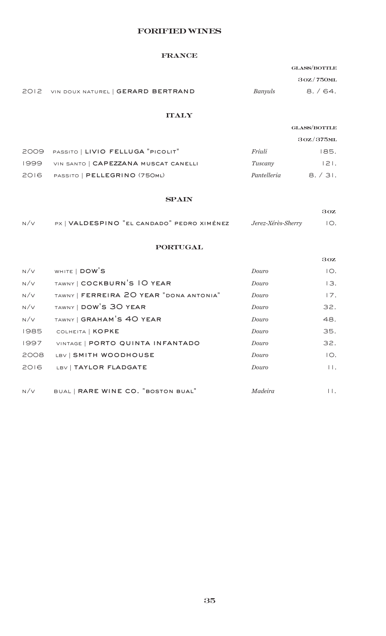## forified wines

#### france

 $3$  oz /  $750$ ml

| 2012 VIN DOUX NATUREL   GERARD BERTRAND | Banyuls | 8. / 64. |
|-----------------------------------------|---------|----------|

## **ITALY**

## $\mbox{GLASS}/\mbox{BOTTLE}$

|                                           |             | 30Z/375ML |
|-------------------------------------------|-------------|-----------|
| 2009 PASSITO   LIVIO FELLUGA "PICOLIT"    | Friuli      | 185.      |
| 1999 VIN SANTO   CAPEZZANA MUSCAT CANELLI | Tuscany     | $ 2 $ .   |
| 2016 PASSITO   PELLEGRINO (750ML)         | Pantelleria | 8.731.    |

#### **SPAIN**

|     |                                            |                        | 30Z |
|-----|--------------------------------------------|------------------------|-----|
| N/V | PX   VALDESPINO "EL CANDADO" PEDRO XIMÉNEZ | Jerez-Xérès-Sherry IO. |     |

## portugal

|      |                                         |         | 30Z            |
|------|-----------------------------------------|---------|----------------|
| N/V  | WHITE   DOW'S                           | Douro   | IO.            |
| N/V  | TAWNY   COCKBURN'S IO YEAR              | Douro   | 13.            |
| N/V  | TAWNY   FERREIRA 20 YEAR "DONA ANTONIA" | Douro   | 17.            |
| N/V  | TAWNY   DOW'S 30 YEAR                   | Douro   | 32.            |
| N/V  | TAWNY   GRAHAM'S 40 YEAR                | Douro   | 48.            |
| 1985 | COLHEITA   KOPKE                        | Douro   | 35.            |
| 1997 | VINTAGE   PORTO QUINTA INFANTADO        | Douro   | 32.            |
| 2008 | LBV   SMITH WOODHOUSE                   | Douro   | IO.            |
| 2016 | LBV   TAYLOR FLADGATE                   | Douro   | $\mathbf{H}$ . |
|      |                                         |         |                |
| N/V  | BUAL   RARE WINE CO. "BOSTON BUAL"      | Madeira | $\mathsf{H}$ . |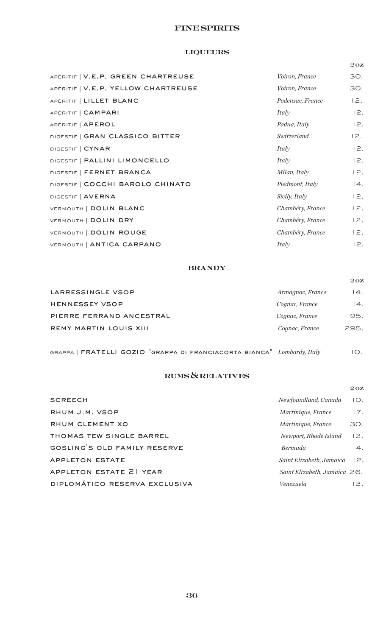## **FINE SPIRITS**

## liqueurs

|                                     |                  | 20Z |
|-------------------------------------|------------------|-----|
| APÉRITIF   V.E.P. GREEN CHARTREUSE  | Voiron, France   | 30. |
| APÉRITIF   V.E.P. YELLOW CHARTREUSE | Voiron, France   | 30. |
| APÉRITIF   LILLET BLANC             | Podensac, France | 12. |
| APÉRITIF   CAMPARI                  | Italy            | 12. |
| APÉRITIF   APEROL                   | Padua, Italy     | 12. |
| DIGESTIF   GRAN CLASSICO BITTER     | Switzerland      | 12. |
| DIGESTIF   CYNAR                    | Italy            | 12. |
| DIGESTIF   PALLINI LIMONCELLO       | Italy            | 12. |
| DIGESTIF   FERNET BRANCA            | Milan, Italy     | 12. |
| DIGESTIF   COCCHI BAROLO CHINATO    | Piedmont, Italy  | 4.  |
| DIGESTIF   AVERNA                   | Sicily, Italy    | 12. |
| VERMOUTH   DOLIN BLANC              | Chambéry, France | 12. |
| VERMOUTH   DOLIN DRY                | Chambéry, France | 12. |
| VERMOUTH   DOLIN ROUGE              | Chambéry, France | 12. |
| VERMOUTH   ANTICA CARPANO           | Italy            | 12. |

## **BRANDY**

|                               |                  | 20Z              |
|-------------------------------|------------------|------------------|
| LARRESSINGLE VSOP             | Armagnac, France | 14.              |
| <b>HENNESSEY VSOP</b>         | Cognac, France   | $\overline{4}$ . |
| PIERRE FERRAND ANCESTRAL      | Cognac, France   | 195.             |
| <b>REMY MARTIN LOUIS XIII</b> | Cognac, France   | 295.             |

grappa | fratelli gozio "grappa di franciacorta bianca" *Lombardy, Italy* 10.

## rums & relatives

|                               |                                         | 20Z |
|-------------------------------|-----------------------------------------|-----|
| <b>SCREECH</b>                | Newfoundland, Canada                    | IO. |
| RHUM J.M. VSOP                | Martinique, France                      | 17. |
| RHUM CLEMENT XO               | Martinique, France                      | 30. |
| THOMAS TEW SINGLE BARREL      | Newport, Rhode Island                   | 2.  |
| GOSLING'S OLD FAMILY RESERVE  | <b>Bermuda</b>                          | 4.  |
| APPLETON ESTATE               | $Saint$ Elizabeth, Jamaica $\exists$ 2. |     |
| APPLETON ESTATE 21 YEAR       | Saint Elizabeth, Jamaica $26$ .         |     |
| DIPLOMÁTICO RESERVA EXCLUSIVA | Venezuela                               | 12. |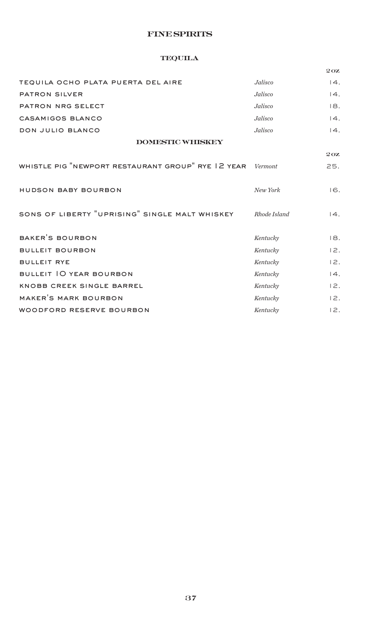## **FINE SPIRITS**

## **TEQUILA**

|                                                    |              | 20Z               |
|----------------------------------------------------|--------------|-------------------|
| TEQUILA OCHO PLATA PUERTA DEL AIRE                 | Jalisco      | 4.                |
| PATRON SILVER                                      | Jalisco      | 4.                |
| PATRON NRG SELECT                                  | Jalisco      | 18.               |
| CASAMIGOS BLANCO                                   | Jalisco      | $\overline{14}$ . |
| DON JULIO BLANCO                                   | Jalisco      | $\overline{14}$ . |
| <b>DOMESTIC WHISKEY</b>                            |              |                   |
|                                                    |              | 20Z               |
| WHISTLE PIG "NEWPORT RESTAURANT GROUP" RYE 12 YEAR | Vermont      | 25.               |
|                                                    |              |                   |
| HUDSON BABY BOURBON                                | New York     | 16.               |
|                                                    |              |                   |
| SONS OF LIBERTY "UPRISING" SINGLE MALT WHISKEY     | Rhode Island | 14.               |
|                                                    |              |                   |
| BAKER'S BOURBON                                    | Kentucky     | 18.               |
| <b>BULLEIT BOURBON</b>                             | Kentucky     | 12.               |
| <b>BULLEIT RYE</b>                                 | Kentucky     | 12.               |
| BULLEIT 10 YEAR BOURBON                            | Kentucky     | 4.                |
| KNOBB CREEK SINGLE BARREL                          | Kentucky     | 12.               |
| MAKER'S MARK BOURBON                               | Kentucky     | 12.               |
| WOODFORD RESERVE BOURBON                           | Kentucky     | 12.               |